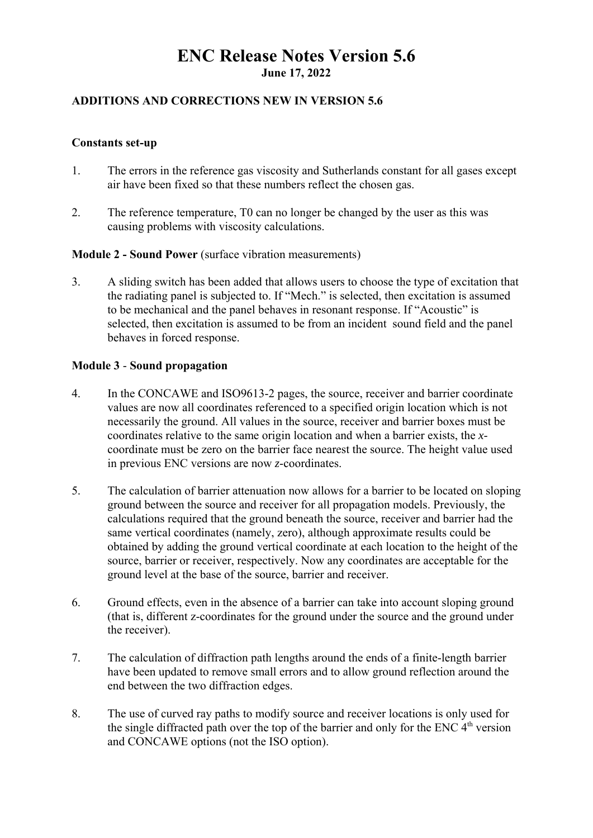# **ENC Release Notes Version 5.6 June 17, 2022**

# **ADDITIONS AND CORRECTIONS NEW IN VERSION 5.6**

### **Constants set-up**

- 1. The errors in the reference gas viscosity and Sutherlands constant for all gases except air have been fixed so that these numbers reflect the chosen gas.
- 2. The reference temperature, T0 can no longer be changed by the user as this was causing problems with viscosity calculations.

### **Module 2 - Sound Power** (surface vibration measurements)

3. A sliding switch has been added that allows users to choose the type of excitation that the radiating panel is subjected to. If "Mech." is selected, then excitation is assumed to be mechanical and the panel behaves in resonant response. If "Acoustic" is selected, then excitation is assumed to be from an incident sound field and the panel behaves in forced response.

### **Module 3** - **Sound propagation**

- 4. In the CONCAWE and ISO9613-2 pages, the source, receiver and barrier coordinate values are now all coordinates referenced to a specified origin location which is not necessarily the ground. All values in the source, receiver and barrier boxes must be coordinates relative to the same origin location and when a barrier exists, the *x*coordinate must be zero on the barrier face nearest the source. The height value used in previous ENC versions are now *z*-coordinates.
- 5. The calculation of barrier attenuation now allows for a barrier to be located on sloping ground between the source and receiver for all propagation models. Previously, the calculations required that the ground beneath the source, receiver and barrier had the same vertical coordinates (namely, zero), although approximate results could be obtained by adding the ground vertical coordinate at each location to the height of the source, barrier or receiver, respectively. Now any coordinates are acceptable for the ground level at the base of the source, barrier and receiver.
- 6. Ground effects, even in the absence of a barrier can take into account sloping ground (that is, different z-coordinates for the ground under the source and the ground under the receiver).
- 7. The calculation of diffraction path lengths around the ends of a finite-length barrier have been updated to remove small errors and to allow ground reflection around the end between the two diffraction edges.
- 8. The use of curved ray paths to modify source and receiver locations is only used for the single diffracted path over the top of the barrier and only for the ENC  $4<sup>th</sup>$  version and CONCAWE options (not the ISO option).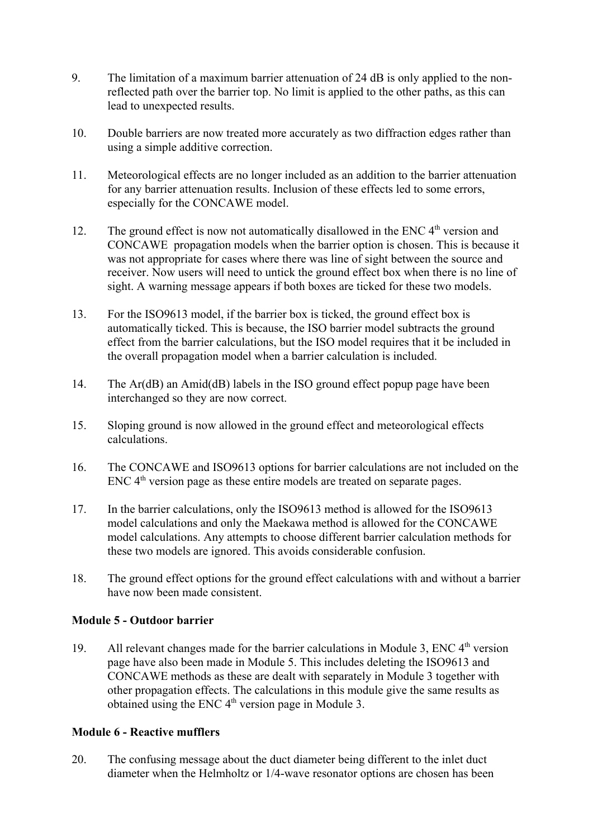- 9. The limitation of a maximum barrier attenuation of 24 dB is only applied to the nonreflected path over the barrier top. No limit is applied to the other paths, as this can lead to unexpected results.
- 10. Double barriers are now treated more accurately as two diffraction edges rather than using a simple additive correction.
- 11. Meteorological effects are no longer included as an addition to the barrier attenuation for any barrier attenuation results. Inclusion of these effects led to some errors, especially for the CONCAWE model.
- 12. The ground effect is now not automatically disallowed in the ENC  $4<sup>th</sup>$  version and CONCAWE propagation models when the barrier option is chosen. This is because it was not appropriate for cases where there was line of sight between the source and receiver. Now users will need to untick the ground effect box when there is no line of sight. A warning message appears if both boxes are ticked for these two models.
- 13. For the ISO9613 model, if the barrier box is ticked, the ground effect box is automatically ticked. This is because, the ISO barrier model subtracts the ground effect from the barrier calculations, but the ISO model requires that it be included in the overall propagation model when a barrier calculation is included.
- 14. The Ar(dB) an Amid(dB) labels in the ISO ground effect popup page have been interchanged so they are now correct.
- 15. Sloping ground is now allowed in the ground effect and meteorological effects calculations.
- 16. The CONCAWE and ISO9613 options for barrier calculations are not included on the  $ENC$  4<sup>th</sup> version page as these entire models are treated on separate pages.
- 17. In the barrier calculations, only the ISO9613 method is allowed for the ISO9613 model calculations and only the Maekawa method is allowed for the CONCAWE model calculations. Any attempts to choose different barrier calculation methods for these two models are ignored. This avoids considerable confusion.
- 18. The ground effect options for the ground effect calculations with and without a barrier have now been made consistent.

# **Module 5 - Outdoor barrier**

19. All relevant changes made for the barrier calculations in Module 3, ENC  $4<sup>th</sup>$  version page have also been made in Module 5. This includes deleting the ISO9613 and CONCAWE methods as these are dealt with separately in Module 3 together with other propagation effects. The calculations in this module give the same results as obtained using the ENC 4th version page in Module 3.

#### **Module 6 - Reactive mufflers**

20. The confusing message about the duct diameter being different to the inlet duct diameter when the Helmholtz or 1/4-wave resonator options are chosen has been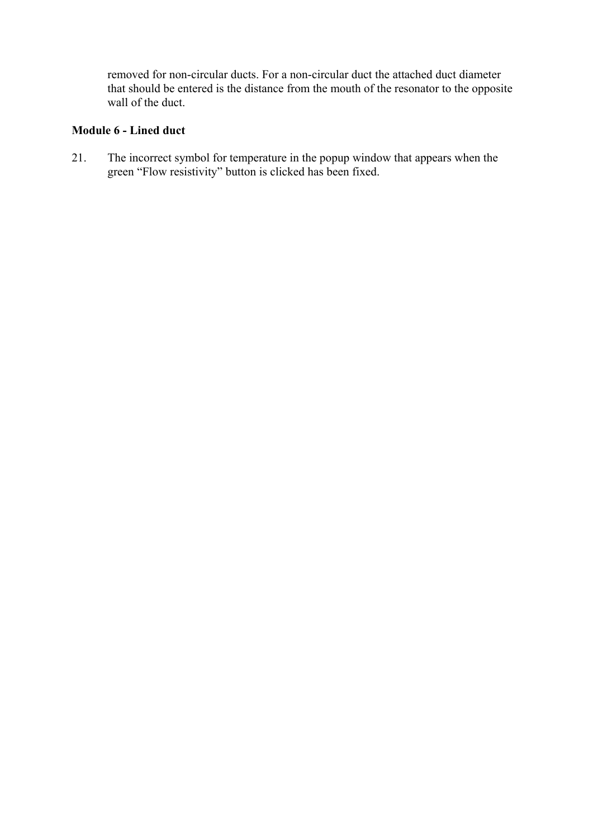removed for non-circular ducts. For a non-circular duct the attached duct diameter that should be entered is the distance from the mouth of the resonator to the opposite wall of the duct.

# **Module 6 - Lined duct**

21. The incorrect symbol for temperature in the popup window that appears when the green "Flow resistivity" button is clicked has been fixed.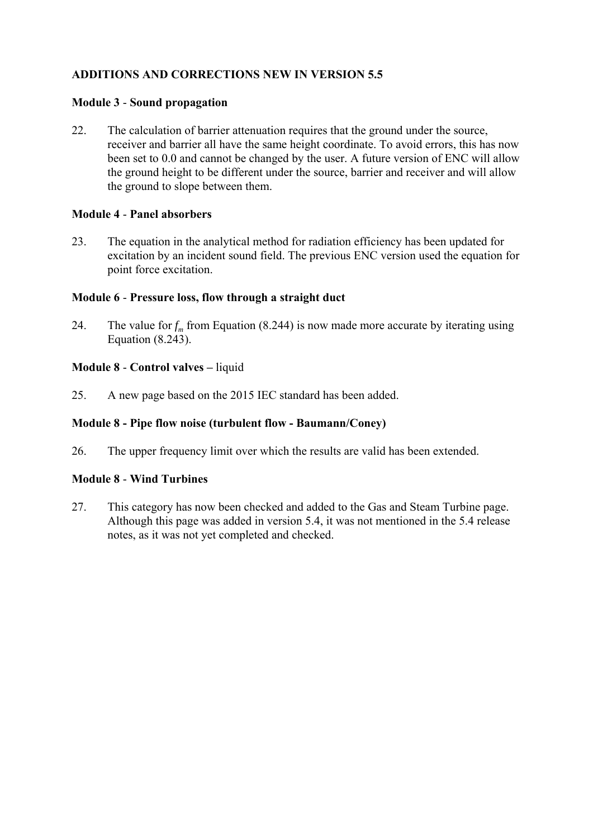### **Module 3** - **Sound propagation**

22. The calculation of barrier attenuation requires that the ground under the source, receiver and barrier all have the same height coordinate. To avoid errors, this has now been set to 0.0 and cannot be changed by the user. A future version of ENC will allow the ground height to be different under the source, barrier and receiver and will allow the ground to slope between them.

### **Module 4** - **Panel absorbers**

23. The equation in the analytical method for radiation efficiency has been updated for excitation by an incident sound field. The previous ENC version used the equation for point force excitation.

### **Module 6** - **Pressure loss, flow through a straight duct**

24. The value for  $f_m$  from Equation (8.244) is now made more accurate by iterating using Equation (8.243).

### **Module 8** - **Control valves –** liquid

25. A new page based on the 2015 IEC standard has been added.

### **Module 8 - Pipe flow noise (turbulent flow - Baumann/Coney)**

26. The upper frequency limit over which the results are valid has been extended.

#### **Module 8** - **Wind Turbines**

27. This category has now been checked and added to the Gas and Steam Turbine page. Although this page was added in version 5.4, it was not mentioned in the 5.4 release notes, as it was not yet completed and checked.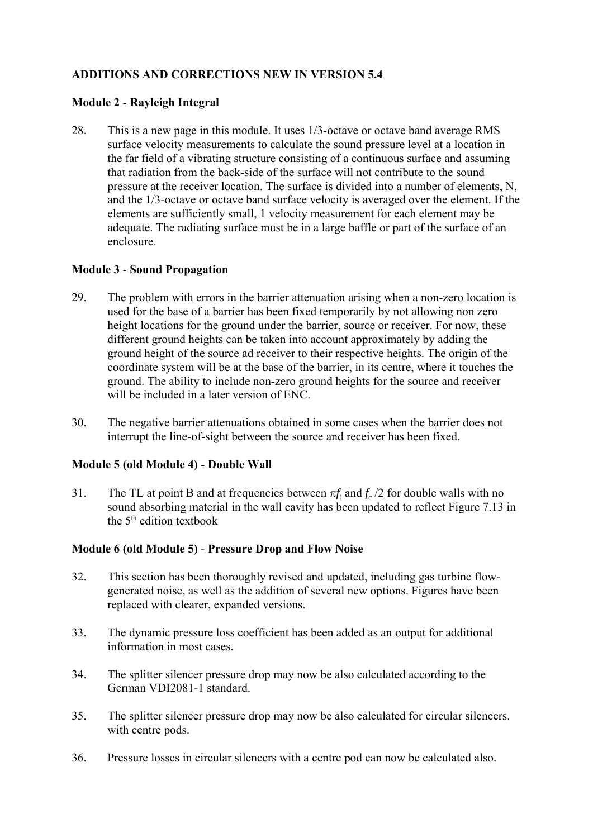### **Module 2** - **Rayleigh Integral**

28. This is a new page in this module. It uses 1/3-octave or octave band average RMS surface velocity measurements to calculate the sound pressure level at a location in the far field of a vibrating structure consisting of a continuous surface and assuming that radiation from the back-side of the surface will not contribute to the sound pressure at the receiver location. The surface is divided into a number of elements, N, and the 1/3-octave or octave band surface velocity is averaged over the element. If the elements are sufficiently small, 1 velocity measurement for each element may be adequate. The radiating surface must be in a large baffle or part of the surface of an enclosure.

#### **Module 3** - **Sound Propagation**

- 29. The problem with errors in the barrier attenuation arising when a non-zero location is used for the base of a barrier has been fixed temporarily by not allowing non zero height locations for the ground under the barrier, source or receiver. For now, these different ground heights can be taken into account approximately by adding the ground height of the source ad receiver to their respective heights. The origin of the coordinate system will be at the base of the barrier, in its centre, where it touches the ground. The ability to include non-zero ground heights for the source and receiver will be included in a later version of ENC.
- 30. The negative barrier attenuations obtained in some cases when the barrier does not interrupt the line-of-sight between the source and receiver has been fixed.

#### **Module 5 (old Module 4)** - **Double Wall**

31. The TL at point B and at frequencies between  $\pi f_{\ell}$  and  $f_c$  /2 for double walls with no sound absorbing material in the wall cavity has been updated to reflect Figure 7.13 in the  $5<sup>th</sup>$  edition textbook

#### **Module 6 (old Module 5)** - **Pressure Drop and Flow Noise**

- 32. This section has been thoroughly revised and updated, including gas turbine flowgenerated noise, as well as the addition of several new options. Figures have been replaced with clearer, expanded versions.
- 33. The dynamic pressure loss coefficient has been added as an output for additional information in most cases.
- 34. The splitter silencer pressure drop may now be also calculated according to the German VDI2081-1 standard.
- 35. The splitter silencer pressure drop may now be also calculated for circular silencers. with centre pods.
- 36. Pressure losses in circular silencers with a centre pod can now be calculated also.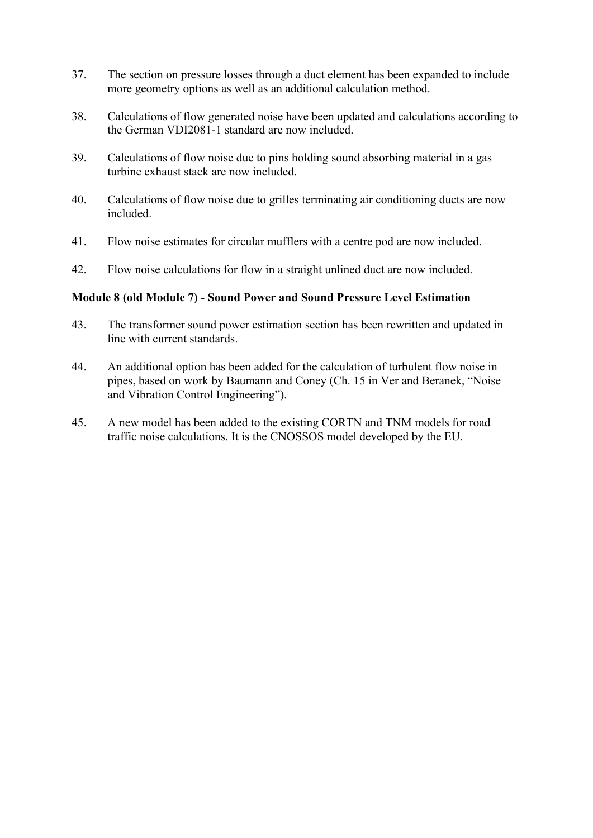- 37. The section on pressure losses through a duct element has been expanded to include more geometry options as well as an additional calculation method.
- 38. Calculations of flow generated noise have been updated and calculations according to the German VDI2081-1 standard are now included.
- 39. Calculations of flow noise due to pins holding sound absorbing material in a gas turbine exhaust stack are now included.
- 40. Calculations of flow noise due to grilles terminating air conditioning ducts are now included.
- 41. Flow noise estimates for circular mufflers with a centre pod are now included.
- 42. Flow noise calculations for flow in a straight unlined duct are now included.

### **Module 8 (old Module 7)** - **Sound Power and Sound Pressure Level Estimation**

- 43. The transformer sound power estimation section has been rewritten and updated in line with current standards.
- 44. An additional option has been added for the calculation of turbulent flow noise in pipes, based on work by Baumann and Coney (Ch. 15 in Ver and Beranek, "Noise and Vibration Control Engineering").
- 45. A new model has been added to the existing CORTN and TNM models for road traffic noise calculations. It is the CNOSSOS model developed by the EU.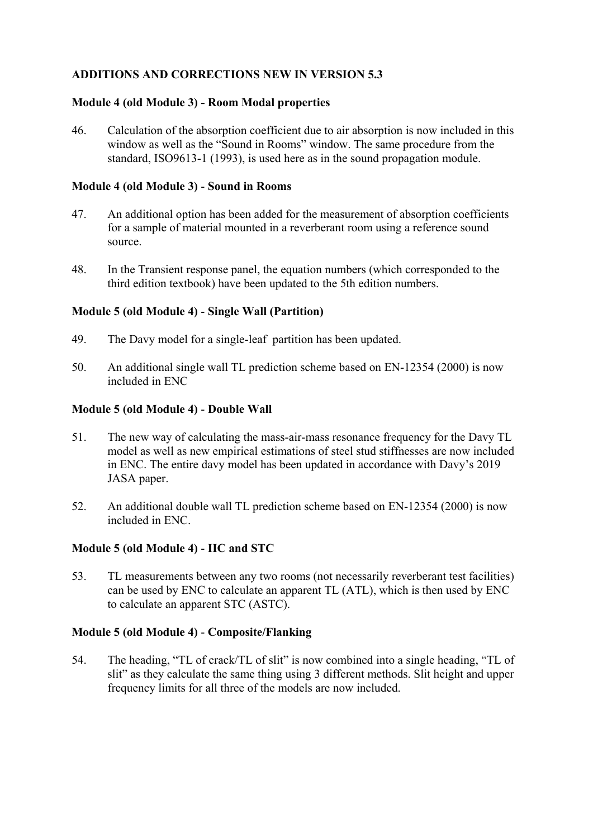# **Module 4 (old Module 3) - Room Modal properties**

46. Calculation of the absorption coefficient due to air absorption is now included in this window as well as the "Sound in Rooms" window. The same procedure from the standard, ISO9613-1 (1993), is used here as in the sound propagation module.

#### **Module 4 (old Module 3)** - **Sound in Rooms**

- 47. An additional option has been added for the measurement of absorption coefficients for a sample of material mounted in a reverberant room using a reference sound source.
- 48. In the Transient response panel, the equation numbers (which corresponded to the third edition textbook) have been updated to the 5th edition numbers.

### **Module 5 (old Module 4)** - **Single Wall (Partition)**

- 49. The Davy model for a single-leaf partition has been updated.
- 50. An additional single wall TL prediction scheme based on EN-12354 (2000) is now included in ENC

### **Module 5 (old Module 4)** - **Double Wall**

- 51. The new way of calculating the mass-air-mass resonance frequency for the Davy TL model as well as new empirical estimations of steel stud stiffnesses are now included in ENC. The entire davy model has been updated in accordance with Davy's 2019 JASA paper.
- 52. An additional double wall TL prediction scheme based on EN-12354 (2000) is now included in ENC.

#### **Module 5 (old Module 4)** - **IIC and STC**

53. TL measurements between any two rooms (not necessarily reverberant test facilities) can be used by ENC to calculate an apparent TL (ATL), which is then used by ENC to calculate an apparent STC (ASTC).

#### **Module 5 (old Module 4)** - **Composite/Flanking**

54. The heading, "TL of crack/TL of slit" is now combined into a single heading, "TL of slit" as they calculate the same thing using 3 different methods. Slit height and upper frequency limits for all three of the models are now included.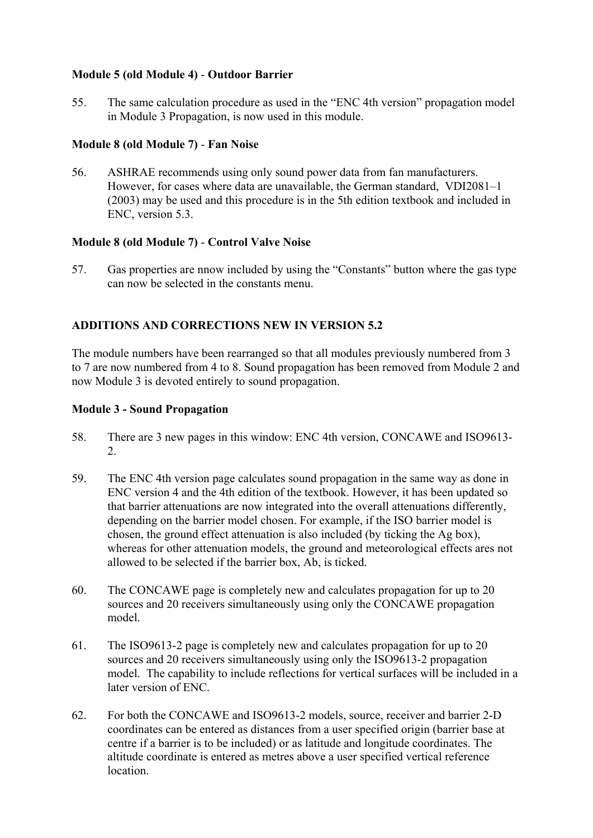# **Module 5 (old Module 4)** - **Outdoor Barrier**

55. The same calculation procedure as used in the "ENC 4th version" propagation model in Module 3 Propagation, is now used in this module.

### **Module 8 (old Module 7)** - **Fan Noise**

56. ASHRAE recommends using only sound power data from fan manufacturers. However, for cases where data are unavailable, the German standard, VDI2081–1 (2003) may be used and this procedure is in the 5th edition textbook and included in ENC, version 5.3.

### **Module 8 (old Module 7)** - **Control Valve Noise**

57. Gas properties are nnow included by using the "Constants" button where the gas type can now be selected in the constants menu.

### **ADDITIONS AND CORRECTIONS NEW IN VERSION 5.2**

The module numbers have been rearranged so that all modules previously numbered from 3 to 7 are now numbered from 4 to 8. Sound propagation has been removed from Module 2 and now Module 3 is devoted entirely to sound propagation.

#### **Module 3 - Sound Propagation**

- 58. There are 3 new pages in this window: ENC 4th version, CONCAWE and ISO9613-  $2^{\circ}$
- 59. The ENC 4th version page calculates sound propagation in the same way as done in ENC version 4 and the 4th edition of the textbook. However, it has been updated so that barrier attenuations are now integrated into the overall attenuations differently, depending on the barrier model chosen. For example, if the ISO barrier model is chosen, the ground effect attenuation is also included (by ticking the Ag box), whereas for other attenuation models, the ground and meteorological effects ares not allowed to be selected if the barrier box, Ab, is ticked.
- 60. The CONCAWE page is completely new and calculates propagation for up to 20 sources and 20 receivers simultaneously using only the CONCAWE propagation model.
- 61. The ISO9613-2 page is completely new and calculates propagation for up to 20 sources and 20 receivers simultaneously using only the ISO9613-2 propagation model. The capability to include reflections for vertical surfaces will be included in a later version of ENC.
- 62. For both the CONCAWE and ISO9613-2 models, source, receiver and barrier 2-D coordinates can be entered as distances from a user specified origin (barrier base at centre if a barrier is to be included) or as latitude and longitude coordinates. The altitude coordinate is entered as metres above a user specified vertical reference location.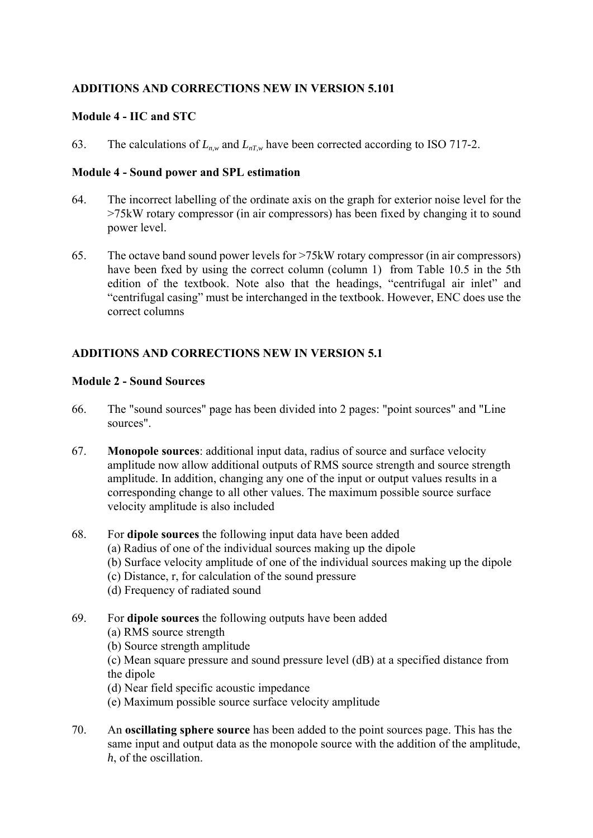### **Module 4 - IIC and STC**

63. The calculations of  $L_{n,w}$  and  $L_{nTw}$  have been corrected according to ISO 717-2.

#### **Module 4 - Sound power and SPL estimation**

- 64. The incorrect labelling of the ordinate axis on the graph for exterior noise level for the >75kW rotary compressor (in air compressors) has been fixed by changing it to sound power level.
- 65. The octave band sound power levels for >75kW rotary compressor (in air compressors) have been fxed by using the correct column (column 1) from Table 10.5 in the 5th edition of the textbook. Note also that the headings, "centrifugal air inlet" and "centrifugal casing" must be interchanged in the textbook. However, ENC does use the correct columns

# **ADDITIONS AND CORRECTIONS NEW IN VERSION 5.1**

### **Module 2 - Sound Sources**

- 66. The "sound sources" page has been divided into 2 pages: "point sources" and "Line sources".
- 67. **Monopole sources**: additional input data, radius of source and surface velocity amplitude now allow additional outputs of RMS source strength and source strength amplitude. In addition, changing any one of the input or output values results in a corresponding change to all other values. The maximum possible source surface velocity amplitude is also included

#### 68. For **dipole sources** the following input data have been added

- (a) Radius of one of the individual sources making up the dipole
- (b) Surface velocity amplitude of one of the individual sources making up the dipole
- (c) Distance, r, for calculation of the sound pressure
- (d) Frequency of radiated sound
- 69. For **dipole sources** the following outputs have been added
	- (a) RMS source strength
	- (b) Source strength amplitude
	- (c) Mean square pressure and sound pressure level (dB) at a specified distance from the dipole
	- (d) Near field specific acoustic impedance
	- (e) Maximum possible source surface velocity amplitude
- 70. An **oscillating sphere source** has been added to the point sources page. This has the same input and output data as the monopole source with the addition of the amplitude, *h*, of the oscillation.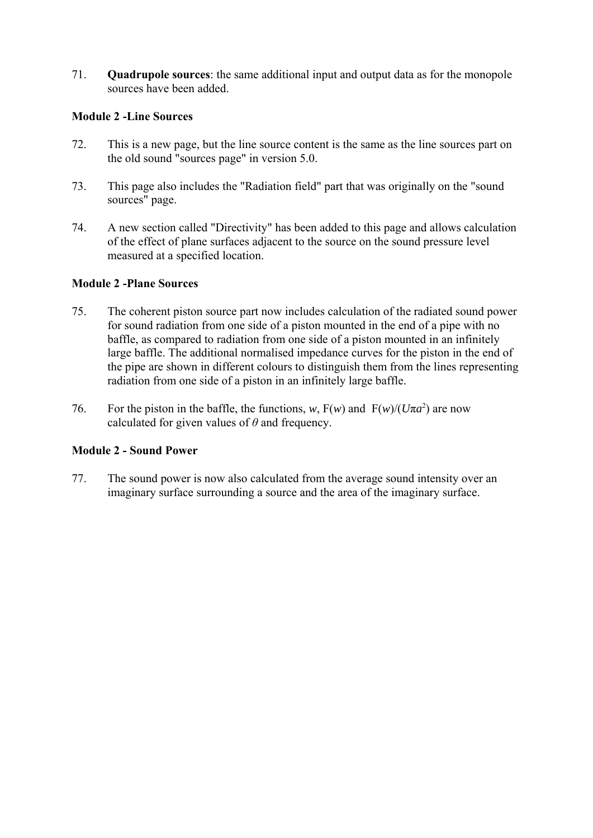71. **Quadrupole sources**: the same additional input and output data as for the monopole sources have been added.

### **Module 2 -Line Sources**

- 72. This is a new page, but the line source content is the same as the line sources part on the old sound "sources page" in version 5.0.
- 73. This page also includes the "Radiation field" part that was originally on the "sound sources" page.
- 74. A new section called "Directivity" has been added to this page and allows calculation of the effect of plane surfaces adjacent to the source on the sound pressure level measured at a specified location.

### **Module 2 -Plane Sources**

- 75. The coherent piston source part now includes calculation of the radiated sound power for sound radiation from one side of a piston mounted in the end of a pipe with no baffle, as compared to radiation from one side of a piston mounted in an infinitely large baffle. The additional normalised impedance curves for the piston in the end of the pipe are shown in different colours to distinguish them from the lines representing radiation from one side of a piston in an infinitely large baffle.
- 76. For the piston in the baffle, the functions, *w*,  $F(w)$  and  $F(w)/(U\pi a^2)$  are now calculated for given values of *θ* and frequency.

# **Module 2 - Sound Power**

77. The sound power is now also calculated from the average sound intensity over an imaginary surface surrounding a source and the area of the imaginary surface.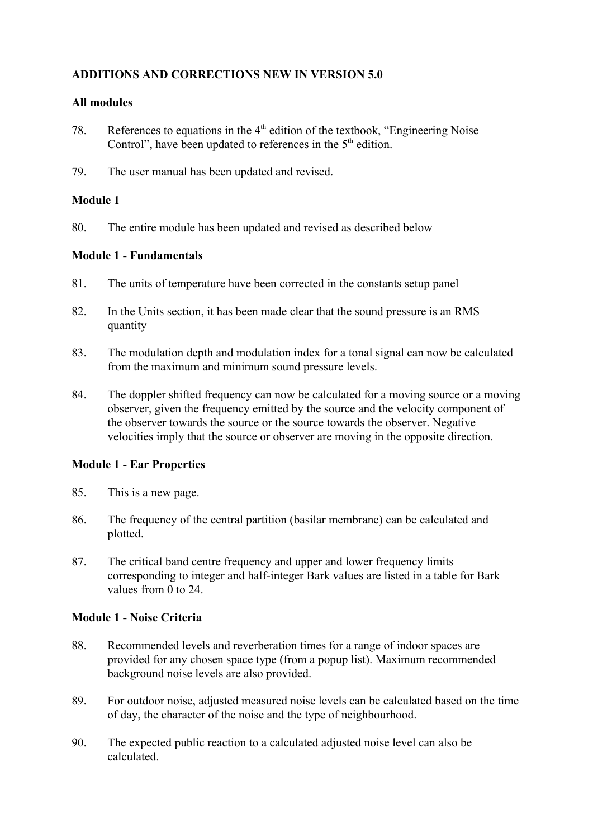### **All modules**

- 78. References to equations in the  $4<sup>th</sup>$  edition of the textbook, "Engineering Noise" Control", have been updated to references in the  $5<sup>th</sup>$  edition.
- 79. The user manual has been updated and revised.

### **Module 1**

80. The entire module has been updated and revised as described below

### **Module 1 - Fundamentals**

- 81. The units of temperature have been corrected in the constants setup panel
- 82. In the Units section, it has been made clear that the sound pressure is an RMS quantity
- 83. The modulation depth and modulation index for a tonal signal can now be calculated from the maximum and minimum sound pressure levels.
- 84. The doppler shifted frequency can now be calculated for a moving source or a moving observer, given the frequency emitted by the source and the velocity component of the observer towards the source or the source towards the observer. Negative velocities imply that the source or observer are moving in the opposite direction.

# **Module 1 - Ear Properties**

- 85. This is a new page.
- 86. The frequency of the central partition (basilar membrane) can be calculated and plotted.
- 87. The critical band centre frequency and upper and lower frequency limits corresponding to integer and half-integer Bark values are listed in a table for Bark values from 0 to 24.

# **Module 1 - Noise Criteria**

- 88. Recommended levels and reverberation times for a range of indoor spaces are provided for any chosen space type (from a popup list). Maximum recommended background noise levels are also provided.
- 89. For outdoor noise, adjusted measured noise levels can be calculated based on the time of day, the character of the noise and the type of neighbourhood.
- 90. The expected public reaction to a calculated adjusted noise level can also be calculated.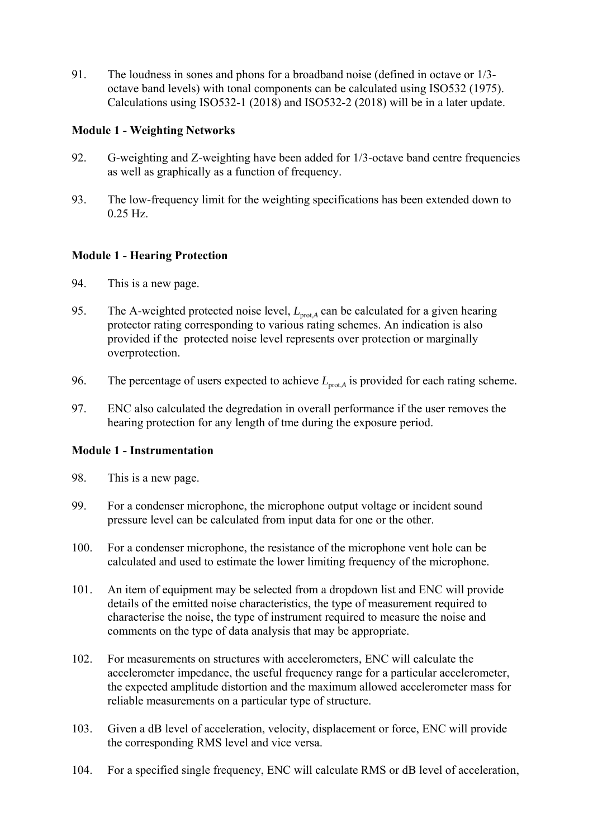91. The loudness in sones and phons for a broadband noise (defined in octave or 1/3 octave band levels) with tonal components can be calculated using ISO532 (1975). Calculations using ISO532-1 (2018) and ISO532-2 (2018) will be in a later update.

# **Module 1 - Weighting Networks**

- 92. G-weighting and Z-weighting have been added for 1/3-octave band centre frequencies as well as graphically as a function of frequency.
- 93. The low-frequency limit for the weighting specifications has been extended down to 0.25 Hz.

# **Module 1 - Hearing Protection**

- 94. This is a new page.
- 95. The A-weighted protected noise level,  $L_{\text{brot A}}$  can be calculated for a given hearing protector rating corresponding to various rating schemes. An indication is also provided if the protected noise level represents over protection or marginally overprotection.
- 96. The percentage of users expected to achieve  $L_{\text{brot }A}$  is provided for each rating scheme.
- 97. ENC also calculated the degredation in overall performance if the user removes the hearing protection for any length of tme during the exposure period.

# **Module 1 - Instrumentation**

- 98. This is a new page.
- 99. For a condenser microphone, the microphone output voltage or incident sound pressure level can be calculated from input data for one or the other.
- 100. For a condenser microphone, the resistance of the microphone vent hole can be calculated and used to estimate the lower limiting frequency of the microphone.
- 101. An item of equipment may be selected from a dropdown list and ENC will provide details of the emitted noise characteristics, the type of measurement required to characterise the noise, the type of instrument required to measure the noise and comments on the type of data analysis that may be appropriate.
- 102. For measurements on structures with accelerometers, ENC will calculate the accelerometer impedance, the useful frequency range for a particular accelerometer, the expected amplitude distortion and the maximum allowed accelerometer mass for reliable measurements on a particular type of structure.
- 103. Given a dB level of acceleration, velocity, displacement or force, ENC will provide the corresponding RMS level and vice versa.
- 104. For a specified single frequency, ENC will calculate RMS or dB level of acceleration,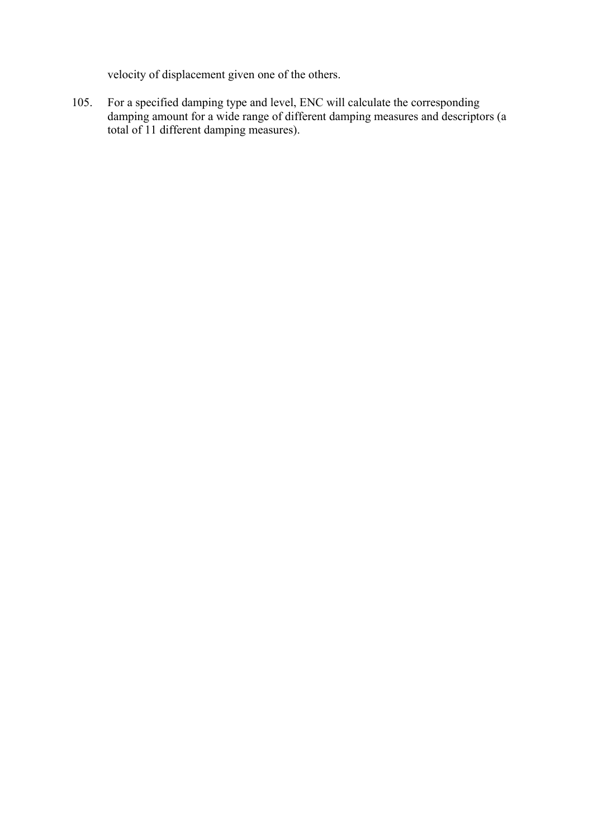velocity of displacement given one of the others.

105. For a specified damping type and level, ENC will calculate the corresponding damping amount for a wide range of different damping measures and descriptors (a total of 11 different damping measures).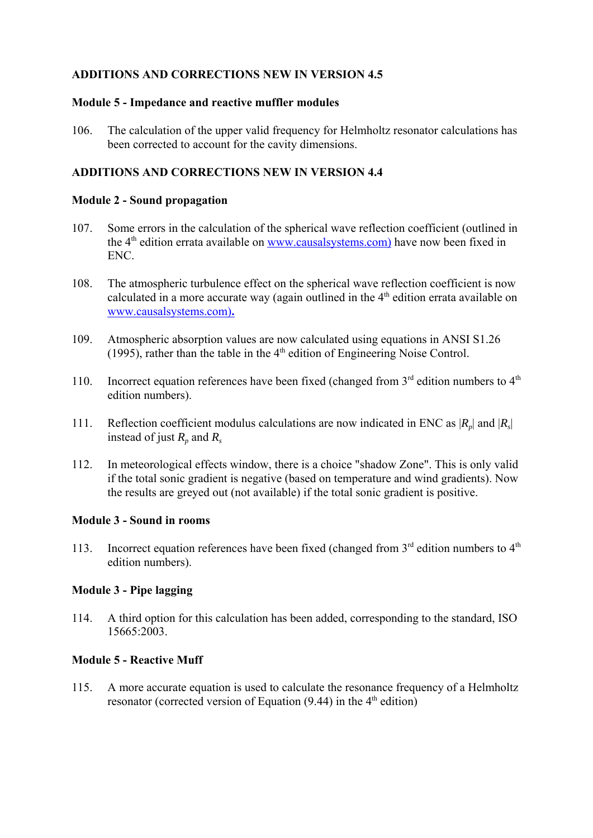### **Module 5 - Impedance and reactive muffler modules**

106. The calculation of the upper valid frequency for Helmholtz resonator calculations has been corrected to account for the cavity dimensions.

### **ADDITIONS AND CORRECTIONS NEW IN VERSION 4.4**

#### **Module 2 - Sound propagation**

- 107. Some errors in the calculation of the spherical wave reflection coefficient (outlined in the  $4<sup>th</sup>$  edition errata available on www.causalsystems.com) have now been fixed in ENC.
- 108. The atmospheric turbulence effect on the spherical wave reflection coefficient is now calculated in a more accurate way (again outlined in the  $4<sup>th</sup>$  edition errata available on www.causalsystems.com)**.**
- 109. Atmospheric absorption values are now calculated using equations in ANSI S1.26 (1995), rather than the table in the  $4<sup>th</sup>$  edition of Engineering Noise Control.
- 110. Incorrect equation references have been fixed (changed from  $3<sup>rd</sup>$  edition numbers to  $4<sup>th</sup>$ edition numbers).
- 111. Reflection coefficient modulus calculations are now indicated in ENC as  $|R_n|$  and  $|R_s|$ instead of just  $R_p$  and  $R_s$
- 112. In meteorological effects window, there is a choice "shadow Zone". This is only valid if the total sonic gradient is negative (based on temperature and wind gradients). Now the results are greyed out (not available) if the total sonic gradient is positive.

#### **Module 3 - Sound in rooms**

113. Incorrect equation references have been fixed (changed from  $3<sup>rd</sup>$  edition numbers to  $4<sup>th</sup>$ edition numbers).

# **Module 3 - Pipe lagging**

114. A third option for this calculation has been added, corresponding to the standard, ISO 15665:2003.

#### **Module 5 - Reactive Muff**

115. A more accurate equation is used to calculate the resonance frequency of a Helmholtz resonator (corrected version of Equation  $(9.44)$  in the  $4<sup>th</sup>$  edition)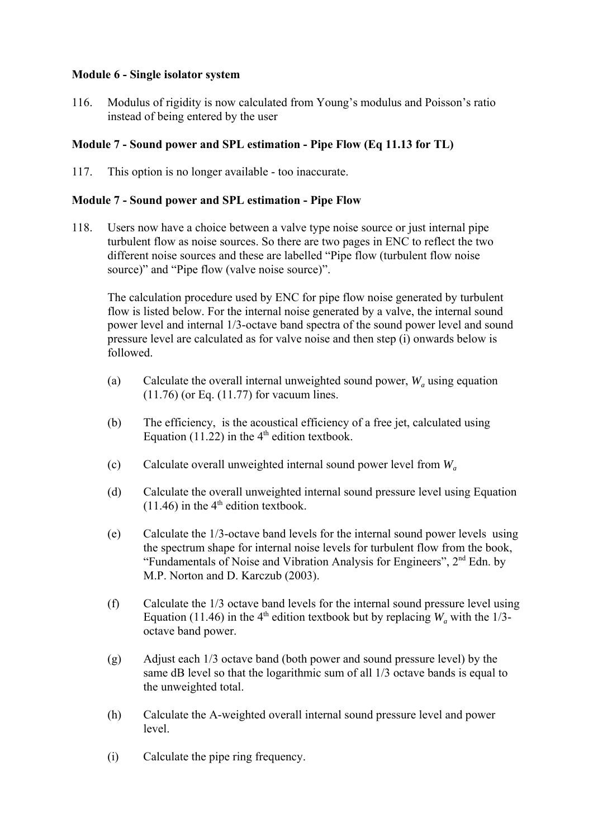# **Module 6 - Single isolator system**

116. Modulus of rigidity is now calculated from Young's modulus and Poisson's ratio instead of being entered by the user

# **Module 7 - Sound power and SPL estimation - Pipe Flow (Eq 11.13 for TL)**

117. This option is no longer available - too inaccurate.

### **Module 7 - Sound power and SPL estimation - Pipe Flow**

118. Users now have a choice between a valve type noise source or just internal pipe turbulent flow as noise sources. So there are two pages in ENC to reflect the two different noise sources and these are labelled "Pipe flow (turbulent flow noise source)" and "Pipe flow (valve noise source)".

The calculation procedure used by ENC for pipe flow noise generated by turbulent flow is listed below. For the internal noise generated by a valve, the internal sound power level and internal 1/3-octave band spectra of the sound power level and sound pressure level are calculated as for valve noise and then step (i) onwards below is followed.

- (a) Calculate the overall internal unweighted sound power,  $W_a$  using equation (11.76) (or Eq. (11.77) for vacuum lines.
- (b) The efficiency, is the acoustical efficiency of a free jet, calculated using Equation (11.22) in the  $4<sup>th</sup>$  edition textbook.
- (c) Calculate overall unweighted internal sound power level from *Wa*
- (d) Calculate the overall unweighted internal sound pressure level using Equation  $(11.46)$  in the 4<sup>th</sup> edition textbook.
- (e) Calculate the 1/3-octave band levels for the internal sound power levels using the spectrum shape for internal noise levels for turbulent flow from the book, "Fundamentals of Noise and Vibration Analysis for Engineers", 2nd Edn. by M.P. Norton and D. Karczub (2003).
- (f) Calculate the 1/3 octave band levels for the internal sound pressure level using Equation (11.46) in the 4<sup>th</sup> edition textbook but by replacing  $W_a$  with the 1/3octave band power.
- (g) Adjust each 1/3 octave band (both power and sound pressure level) by the same dB level so that the logarithmic sum of all 1/3 octave bands is equal to the unweighted total.
- (h) Calculate the A-weighted overall internal sound pressure level and power level.
- (i) Calculate the pipe ring frequency.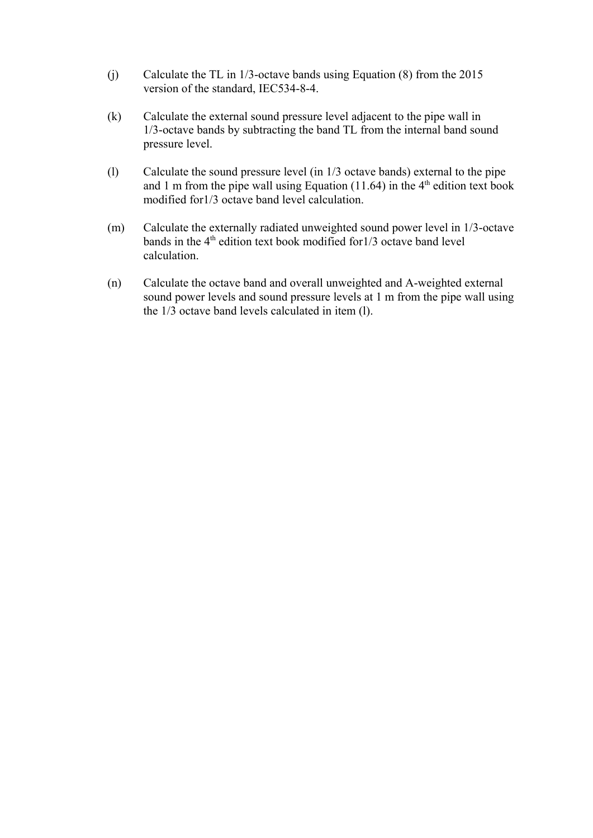- (j) Calculate the TL in 1/3-octave bands using Equation (8) from the 2015 version of the standard, IEC534-8-4.
- (k) Calculate the external sound pressure level adjacent to the pipe wall in 1/3-octave bands by subtracting the band TL from the internal band sound pressure level.
- (l) Calculate the sound pressure level (in 1/3 octave bands) external to the pipe and 1 m from the pipe wall using Equation  $(11.64)$  in the 4<sup>th</sup> edition text book modified for1/3 octave band level calculation.
- (m) Calculate the externally radiated unweighted sound power level in 1/3-octave bands in the  $4<sup>th</sup>$  edition text book modified for  $1/3$  octave band level calculation.
- (n) Calculate the octave band and overall unweighted and A-weighted external sound power levels and sound pressure levels at 1 m from the pipe wall using the 1/3 octave band levels calculated in item (l).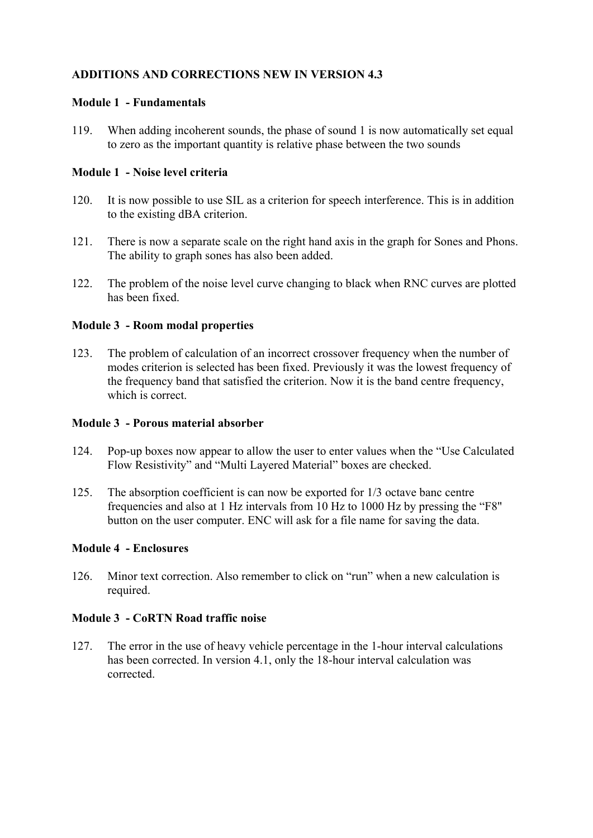### **Module 1 - Fundamentals**

119. When adding incoherent sounds, the phase of sound 1 is now automatically set equal to zero as the important quantity is relative phase between the two sounds

### **Module 1 - Noise level criteria**

- 120. It is now possible to use SIL as a criterion for speech interference. This is in addition to the existing dBA criterion.
- 121. There is now a separate scale on the right hand axis in the graph for Sones and Phons. The ability to graph sones has also been added.
- 122. The problem of the noise level curve changing to black when RNC curves are plotted has been fixed.

### **Module 3 - Room modal properties**

123. The problem of calculation of an incorrect crossover frequency when the number of modes criterion is selected has been fixed. Previously it was the lowest frequency of the frequency band that satisfied the criterion. Now it is the band centre frequency, which is correct.

#### **Module 3 - Porous material absorber**

- 124. Pop-up boxes now appear to allow the user to enter values when the "Use Calculated Flow Resistivity" and "Multi Layered Material" boxes are checked.
- 125. The absorption coefficient is can now be exported for 1/3 octave banc centre frequencies and also at 1 Hz intervals from 10 Hz to 1000 Hz by pressing the "F8" button on the user computer. ENC will ask for a file name for saving the data.

# **Module 4 - Enclosures**

126. Minor text correction. Also remember to click on "run" when a new calculation is required.

#### **Module 3 - CoRTN Road traffic noise**

127. The error in the use of heavy vehicle percentage in the 1-hour interval calculations has been corrected. In version 4.1, only the 18-hour interval calculation was corrected.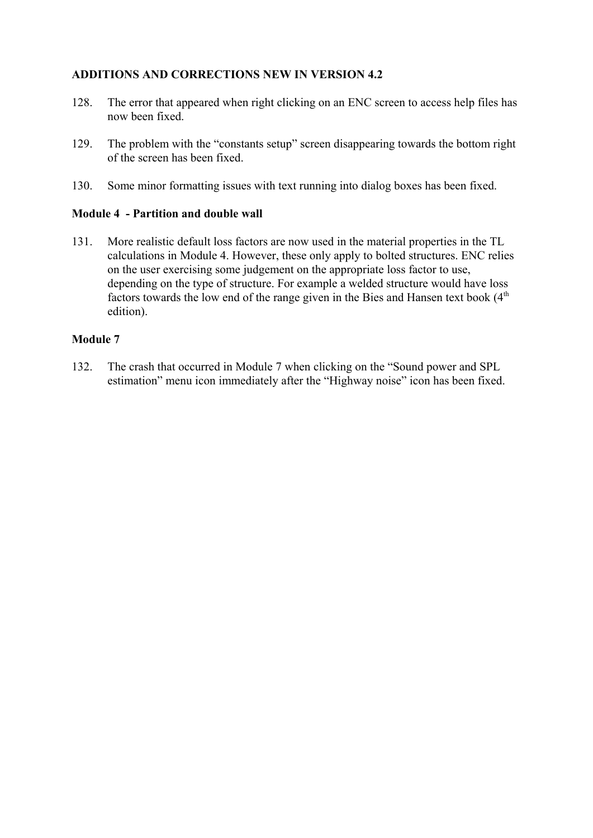- 128. The error that appeared when right clicking on an ENC screen to access help files has now been fixed.
- 129. The problem with the "constants setup" screen disappearing towards the bottom right of the screen has been fixed.
- 130. Some minor formatting issues with text running into dialog boxes has been fixed.

# **Module 4 - Partition and double wall**

131. More realistic default loss factors are now used in the material properties in the TL calculations in Module 4. However, these only apply to bolted structures. ENC relies on the user exercising some judgement on the appropriate loss factor to use, depending on the type of structure. For example a welded structure would have loss factors towards the low end of the range given in the Bies and Hansen text book  $(4<sup>th</sup>$ edition).

### **Module 7**

132. The crash that occurred in Module 7 when clicking on the "Sound power and SPL estimation" menu icon immediately after the "Highway noise" icon has been fixed.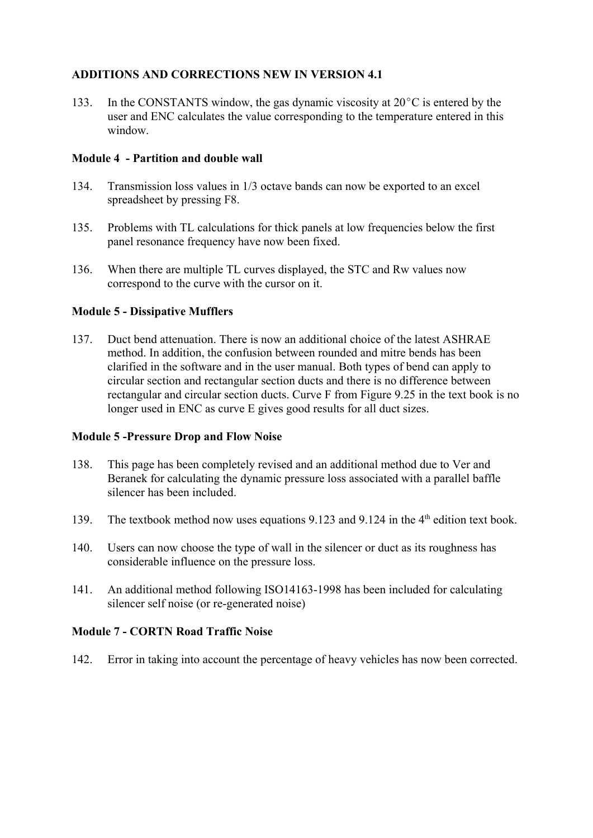133. In the CONSTANTS window, the gas dynamic viscosity at  $20^{\circ}$ C is entered by the user and ENC calculates the value corresponding to the temperature entered in this window.

# **Module 4 - Partition and double wall**

- 134. Transmission loss values in 1/3 octave bands can now be exported to an excel spreadsheet by pressing F8.
- 135. Problems with TL calculations for thick panels at low frequencies below the first panel resonance frequency have now been fixed.
- 136. When there are multiple TL curves displayed, the STC and Rw values now correspond to the curve with the cursor on it.

# **Module 5 - Dissipative Mufflers**

137. Duct bend attenuation. There is now an additional choice of the latest ASHRAE method. In addition, the confusion between rounded and mitre bends has been clarified in the software and in the user manual. Both types of bend can apply to circular section and rectangular section ducts and there is no difference between rectangular and circular section ducts. Curve F from Figure 9.25 in the text book is no longer used in ENC as curve E gives good results for all duct sizes.

# **Module 5 -Pressure Drop and Flow Noise**

- 138. This page has been completely revised and an additional method due to Ver and Beranek for calculating the dynamic pressure loss associated with a parallel baffle silencer has been included.
- 139. The textbook method now uses equations 9.123 and 9.124 in the 4<sup>th</sup> edition text book.
- 140. Users can now choose the type of wall in the silencer or duct as its roughness has considerable influence on the pressure loss.
- 141. An additional method following ISO14163-1998 has been included for calculating silencer self noise (or re-generated noise)

# **Module 7 - CORTN Road Traffic Noise**

142. Error in taking into account the percentage of heavy vehicles has now been corrected.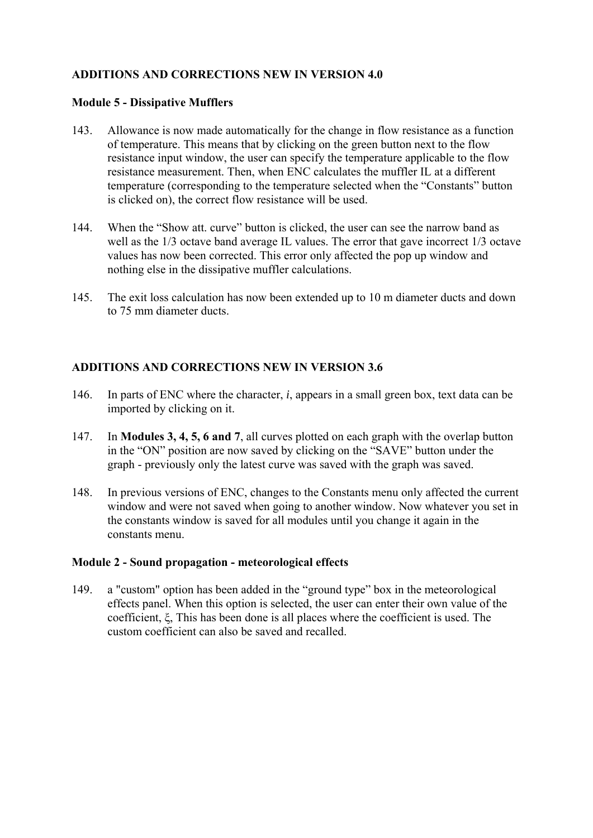### **Module 5 - Dissipative Mufflers**

- 143. Allowance is now made automatically for the change in flow resistance as a function of temperature. This means that by clicking on the green button next to the flow resistance input window, the user can specify the temperature applicable to the flow resistance measurement. Then, when ENC calculates the muffler IL at a different temperature (corresponding to the temperature selected when the "Constants" button is clicked on), the correct flow resistance will be used.
- 144. When the "Show att. curve" button is clicked, the user can see the narrow band as well as the 1/3 octave band average IL values. The error that gave incorrect 1/3 octave values has now been corrected. This error only affected the pop up window and nothing else in the dissipative muffler calculations.
- 145. The exit loss calculation has now been extended up to 10 m diameter ducts and down to 75 mm diameter ducts.

# **ADDITIONS AND CORRECTIONS NEW IN VERSION 3.6**

- 146. In parts of ENC where the character, *i*, appears in a small green box, text data can be imported by clicking on it.
- 147. In **Modules 3, 4, 5, 6 and 7**, all curves plotted on each graph with the overlap button in the "ON" position are now saved by clicking on the "SAVE" button under the graph - previously only the latest curve was saved with the graph was saved.
- 148. In previous versions of ENC, changes to the Constants menu only affected the current window and were not saved when going to another window. Now whatever you set in the constants window is saved for all modules until you change it again in the constants menu.

# **Module 2 - Sound propagation - meteorological effects**

149. a "custom" option has been added in the "ground type" box in the meteorological effects panel. When this option is selected, the user can enter their own value of the coefficient, ξ, This has been done is all places where the coefficient is used. The custom coefficient can also be saved and recalled.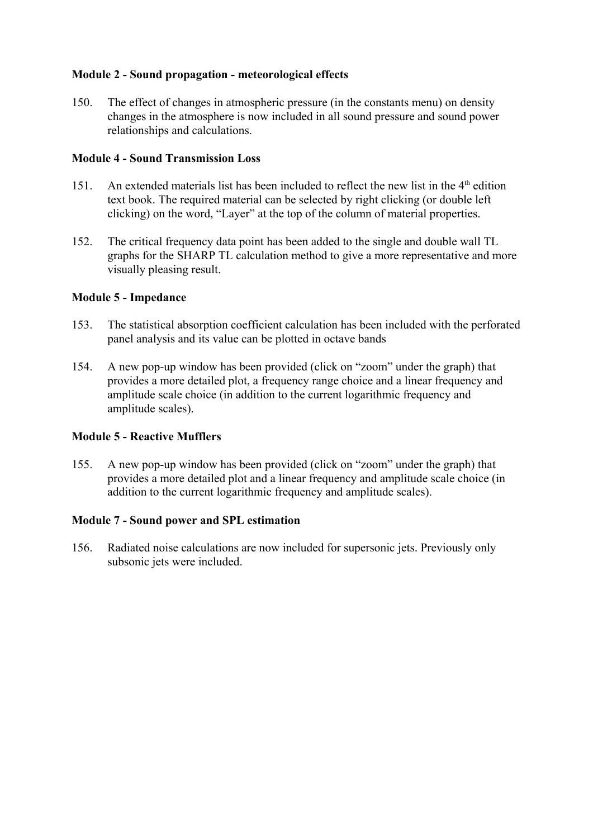# **Module 2 - Sound propagation - meteorological effects**

150. The effect of changes in atmospheric pressure (in the constants menu) on density changes in the atmosphere is now included in all sound pressure and sound power relationships and calculations.

# **Module 4 - Sound Transmission Loss**

- 151. An extended materials list has been included to reflect the new list in the  $4<sup>th</sup>$  edition text book. The required material can be selected by right clicking (or double left clicking) on the word, "Layer" at the top of the column of material properties.
- 152. The critical frequency data point has been added to the single and double wall TL graphs for the SHARP TL calculation method to give a more representative and more visually pleasing result.

# **Module 5 - Impedance**

- 153. The statistical absorption coefficient calculation has been included with the perforated panel analysis and its value can be plotted in octave bands
- 154. A new pop-up window has been provided (click on "zoom" under the graph) that provides a more detailed plot, a frequency range choice and a linear frequency and amplitude scale choice (in addition to the current logarithmic frequency and amplitude scales).

# **Module 5 - Reactive Mufflers**

155. A new pop-up window has been provided (click on "zoom" under the graph) that provides a more detailed plot and a linear frequency and amplitude scale choice (in addition to the current logarithmic frequency and amplitude scales).

# **Module 7 - Sound power and SPL estimation**

156. Radiated noise calculations are now included for supersonic jets. Previously only subsonic jets were included.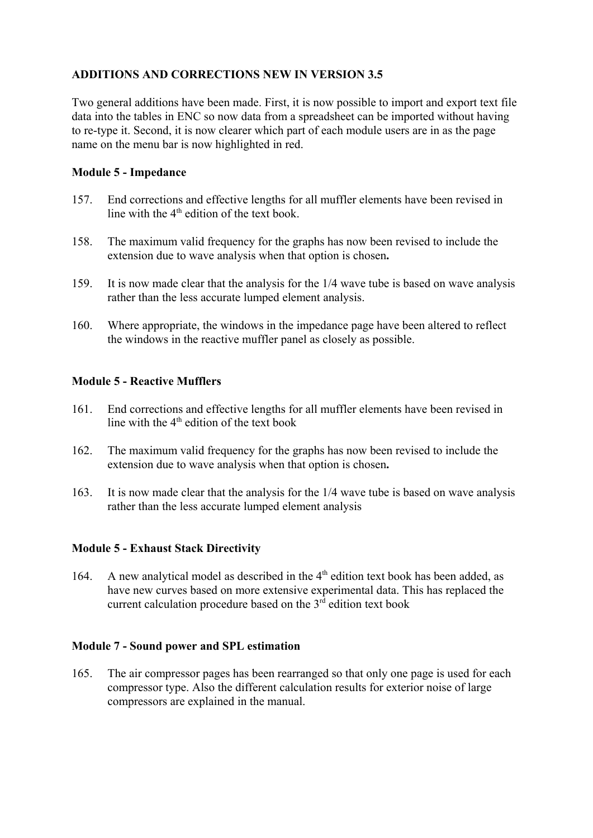Two general additions have been made. First, it is now possible to import and export text file data into the tables in ENC so now data from a spreadsheet can be imported without having to re-type it. Second, it is now clearer which part of each module users are in as the page name on the menu bar is now highlighted in red.

### **Module 5 - Impedance**

- 157. End corrections and effective lengths for all muffler elements have been revised in line with the  $4<sup>th</sup>$  edition of the text book.
- 158. The maximum valid frequency for the graphs has now been revised to include the extension due to wave analysis when that option is chosen**.**
- 159. It is now made clear that the analysis for the 1/4 wave tube is based on wave analysis rather than the less accurate lumped element analysis.
- 160. Where appropriate, the windows in the impedance page have been altered to reflect the windows in the reactive muffler panel as closely as possible.

# **Module 5 - Reactive Mufflers**

- 161. End corrections and effective lengths for all muffler elements have been revised in line with the  $4<sup>th</sup>$  edition of the text book
- 162. The maximum valid frequency for the graphs has now been revised to include the extension due to wave analysis when that option is chosen**.**
- 163. It is now made clear that the analysis for the 1/4 wave tube is based on wave analysis rather than the less accurate lumped element analysis

#### **Module 5 - Exhaust Stack Directivity**

164. A new analytical model as described in the  $4<sup>th</sup>$  edition text book has been added, as have new curves based on more extensive experimental data. This has replaced the current calculation procedure based on the  $3<sup>rd</sup>$  edition text book

#### **Module 7 - Sound power and SPL estimation**

165. The air compressor pages has been rearranged so that only one page is used for each compressor type. Also the different calculation results for exterior noise of large compressors are explained in the manual.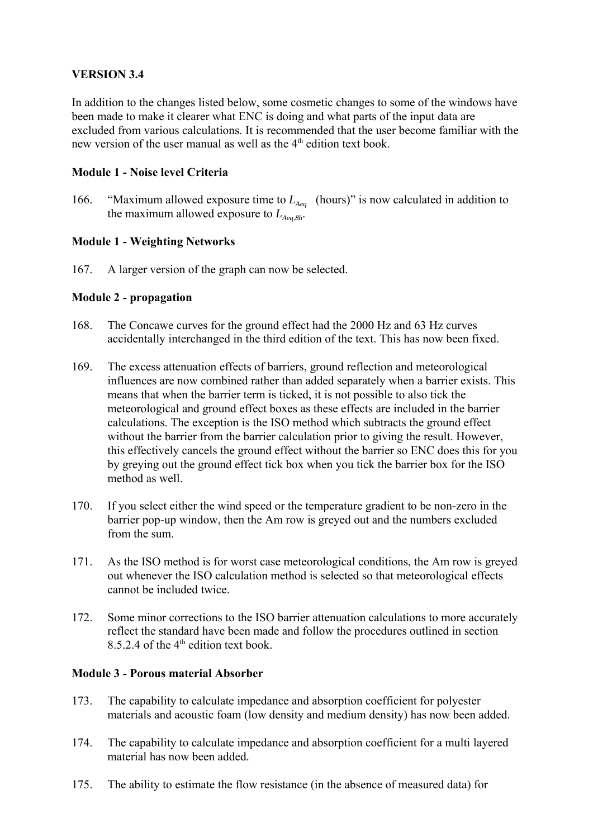# **VERSION 3.4**

In addition to the changes listed below, some cosmetic changes to some of the windows have been made to make it clearer what ENC is doing and what parts of the input data are excluded from various calculations. It is recommended that the user become familiar with the new version of the user manual as well as the  $4<sup>th</sup>$  edition text book.

### **Module 1 - Noise level Criteria**

166. "Maximum allowed exposure time to  $L_{A_{eq}}$  (hours)" is now calculated in addition to the maximum allowed exposure to  $L_{A_{eq},8h}$ .

# **Module 1 - Weighting Networks**

167. A larger version of the graph can now be selected.

### **Module 2 - propagation**

- 168. The Concawe curves for the ground effect had the 2000 Hz and 63 Hz curves accidentally interchanged in the third edition of the text. This has now been fixed.
- 169. The excess attenuation effects of barriers, ground reflection and meteorological influences are now combined rather than added separately when a barrier exists. This means that when the barrier term is ticked, it is not possible to also tick the meteorological and ground effect boxes as these effects are included in the barrier calculations. The exception is the ISO method which subtracts the ground effect without the barrier from the barrier calculation prior to giving the result. However, this effectively cancels the ground effect without the barrier so ENC does this for you by greying out the ground effect tick box when you tick the barrier box for the ISO method as well.
- 170. If you select either the wind speed or the temperature gradient to be non-zero in the barrier pop-up window, then the Am row is greyed out and the numbers excluded from the sum.
- 171. As the ISO method is for worst case meteorological conditions, the Am row is greyed out whenever the ISO calculation method is selected so that meteorological effects cannot be included twice.
- 172. Some minor corrections to the ISO barrier attenuation calculations to more accurately reflect the standard have been made and follow the procedures outlined in section 8.5.2.4 of the  $4<sup>th</sup>$  edition text book.

#### **Module 3 - Porous material Absorber**

- 173. The capability to calculate impedance and absorption coefficient for polyester materials and acoustic foam (low density and medium density) has now been added.
- 174. The capability to calculate impedance and absorption coefficient for a multi layered material has now been added.
- 175. The ability to estimate the flow resistance (in the absence of measured data) for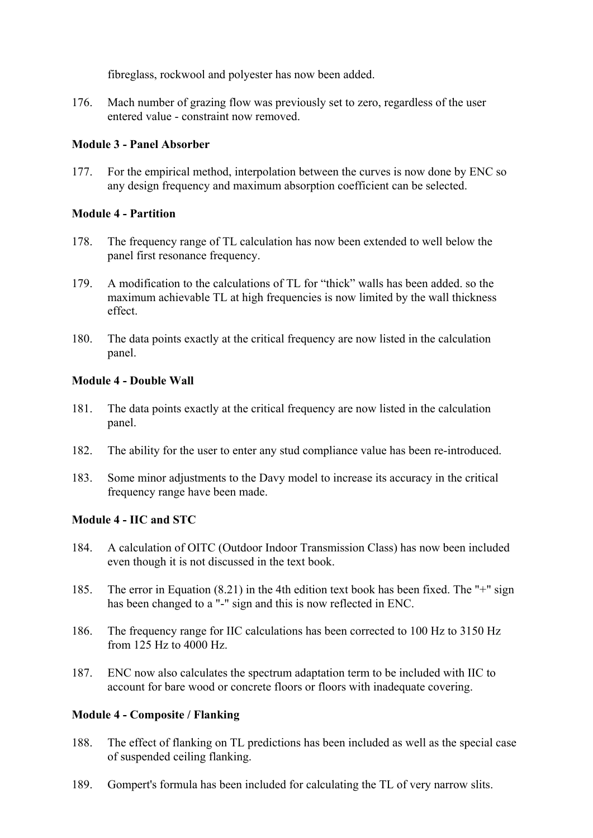fibreglass, rockwool and polyester has now been added.

176. Mach number of grazing flow was previously set to zero, regardless of the user entered value - constraint now removed.

# **Module 3 - Panel Absorber**

177. For the empirical method, interpolation between the curves is now done by ENC so any design frequency and maximum absorption coefficient can be selected.

# **Module 4 - Partition**

- 178. The frequency range of TL calculation has now been extended to well below the panel first resonance frequency.
- 179. A modification to the calculations of TL for "thick" walls has been added. so the maximum achievable TL at high frequencies is now limited by the wall thickness effect.
- 180. The data points exactly at the critical frequency are now listed in the calculation panel.

### **Module 4 - Double Wall**

- 181. The data points exactly at the critical frequency are now listed in the calculation panel.
- 182. The ability for the user to enter any stud compliance value has been re-introduced.
- 183. Some minor adjustments to the Davy model to increase its accuracy in the critical frequency range have been made.

# **Module 4 - IIC and STC**

- 184. A calculation of OITC (Outdoor Indoor Transmission Class) has now been included even though it is not discussed in the text book.
- 185. The error in Equation (8.21) in the 4th edition text book has been fixed. The "+" sign has been changed to a "-" sign and this is now reflected in ENC.
- 186. The frequency range for IIC calculations has been corrected to 100 Hz to 3150 Hz from 125 Hz to 4000 Hz.
- 187. ENC now also calculates the spectrum adaptation term to be included with IIC to account for bare wood or concrete floors or floors with inadequate covering.

# **Module 4 - Composite / Flanking**

- 188. The effect of flanking on TL predictions has been included as well as the special case of suspended ceiling flanking.
- 189. Gompert's formula has been included for calculating the TL of very narrow slits.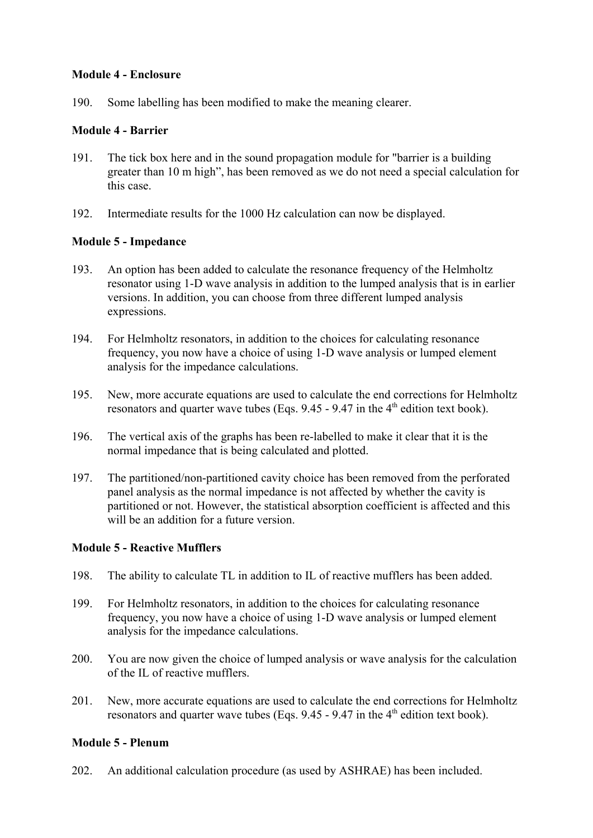### **Module 4 - Enclosure**

190. Some labelling has been modified to make the meaning clearer.

### **Module 4 - Barrier**

- 191. The tick box here and in the sound propagation module for "barrier is a building greater than 10 m high", has been removed as we do not need a special calculation for this case.
- 192. Intermediate results for the 1000 Hz calculation can now be displayed.

# **Module 5 - Impedance**

- 193. An option has been added to calculate the resonance frequency of the Helmholtz resonator using 1-D wave analysis in addition to the lumped analysis that is in earlier versions. In addition, you can choose from three different lumped analysis expressions.
- 194. For Helmholtz resonators, in addition to the choices for calculating resonance frequency, you now have a choice of using 1-D wave analysis or lumped element analysis for the impedance calculations.
- 195. New, more accurate equations are used to calculate the end corrections for Helmholtz resonators and quarter wave tubes (Eqs.  $9.45 - 9.47$  in the 4<sup>th</sup> edition text book).
- 196. The vertical axis of the graphs has been re-labelled to make it clear that it is the normal impedance that is being calculated and plotted.
- 197. The partitioned/non-partitioned cavity choice has been removed from the perforated panel analysis as the normal impedance is not affected by whether the cavity is partitioned or not. However, the statistical absorption coefficient is affected and this will be an addition for a future version.

# **Module 5 - Reactive Mufflers**

- 198. The ability to calculate TL in addition to IL of reactive mufflers has been added.
- 199. For Helmholtz resonators, in addition to the choices for calculating resonance frequency, you now have a choice of using 1-D wave analysis or lumped element analysis for the impedance calculations.
- 200. You are now given the choice of lumped analysis or wave analysis for the calculation of the IL of reactive mufflers.
- 201. New, more accurate equations are used to calculate the end corrections for Helmholtz resonators and quarter wave tubes (Eqs.  $9.45 - 9.47$  in the  $4<sup>th</sup>$  edition text book).

# **Module 5 - Plenum**

202. An additional calculation procedure (as used by ASHRAE) has been included.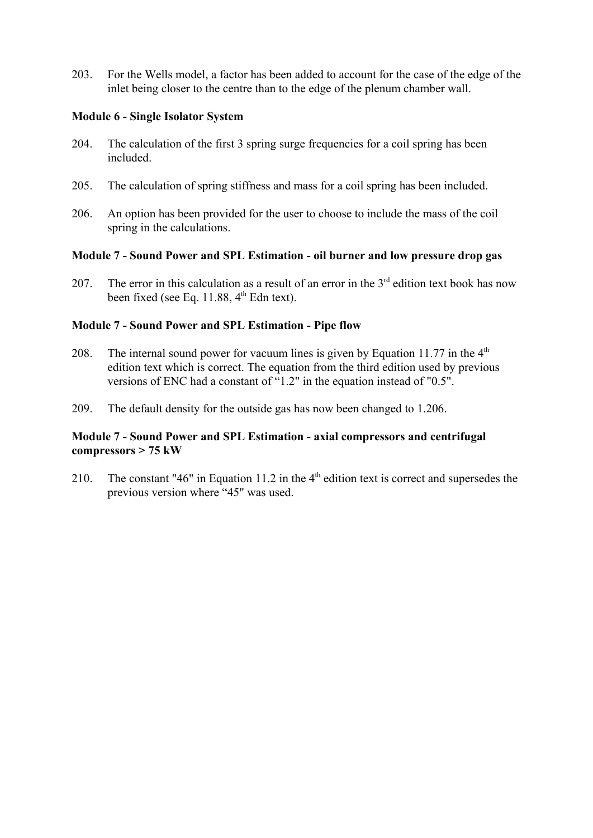203. For the Wells model, a factor has been added to account for the case of the edge of the inlet being closer to the centre than to the edge of the plenum chamber wall.

### **Module 6 - Single Isolator System**

- 204. The calculation of the first 3 spring surge frequencies for a coil spring has been included.
- 205. The calculation of spring stiffness and mass for a coil spring has been included.
- 206. An option has been provided for the user to choose to include the mass of the coil spring in the calculations.

### **Module 7 - Sound Power and SPL Estimation - oil burner and low pressure drop gas**

207. The error in this calculation as a result of an error in the  $3<sup>rd</sup>$  edition text book has now been fixed (see Eq. 11.88,  $4<sup>th</sup>$  Edn text).

### **Module 7 - Sound Power and SPL Estimation - Pipe flow**

- 208. The internal sound power for vacuum lines is given by Equation 11.77 in the  $4<sup>th</sup>$ edition text which is correct. The equation from the third edition used by previous versions of ENC had a constant of "1.2" in the equation instead of "0.5".
- 209. The default density for the outside gas has now been changed to 1.206.

### **Module 7 - Sound Power and SPL Estimation - axial compressors and centrifugal compressors > 75 kW**

210. The constant "46" in Equation 11.2 in the  $4<sup>th</sup>$  edition text is correct and supersedes the previous version where "45" was used.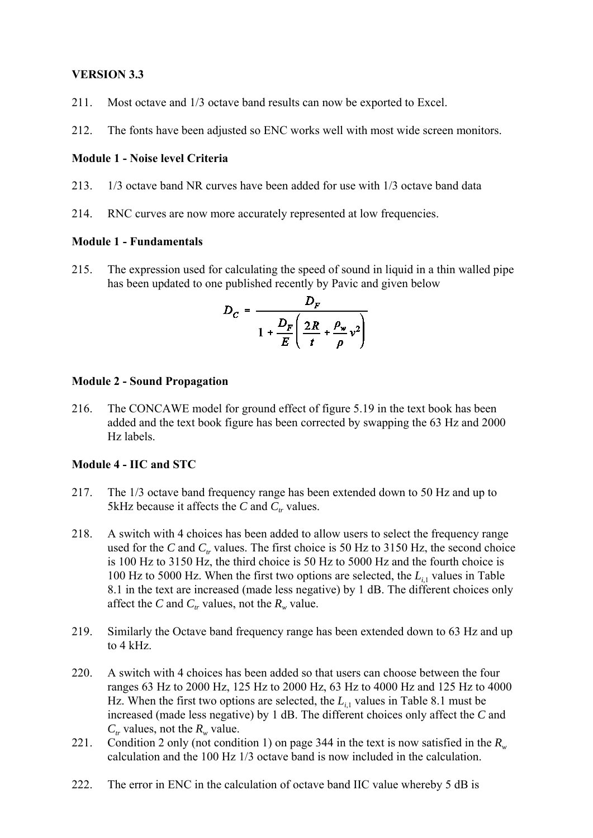### **VERSION 3.3**

- 211. Most octave and 1/3 octave band results can now be exported to Excel.
- 212. The fonts have been adjusted so ENC works well with most wide screen monitors.

### **Module 1 - Noise level Criteria**

- 213. 1/3 octave band NR curves have been added for use with 1/3 octave band data
- 214. RNC curves are now more accurately represented at low frequencies.

#### **Module 1 - Fundamentals**

215. The expression used for calculating the speed of sound in liquid in a thin walled pipe has been updated to one published recently by Pavic and given below

$$
D_C = \frac{D_F}{1 + \frac{D_F}{E} \left(\frac{2R}{t} + \frac{\rho_w}{\rho} v^2\right)}
$$

### **Module 2 - Sound Propagation**

216. The CONCAWE model for ground effect of figure 5.19 in the text book has been added and the text book figure has been corrected by swapping the 63 Hz and 2000 Hz labels.

# **Module 4 - IIC and STC**

- 217. The 1/3 octave band frequency range has been extended down to 50 Hz and up to 5kHz because it affects the  $C$  and  $C_t$  values.
- 218. A switch with 4 choices has been added to allow users to select the frequency range used for the *C* and  $C_t$  values. The first choice is 50 Hz to 3150 Hz, the second choice is 100 Hz to 3150 Hz, the third choice is 50 Hz to 5000 Hz and the fourth choice is 100 Hz to 5000 Hz. When the first two options are selected, the  $L_{i,1}$  values in Table 8.1 in the text are increased (made less negative) by 1 dB. The different choices only affect the *C* and  $C_r$  values, not the  $R_w$  value.
- 219. Similarly the Octave band frequency range has been extended down to 63 Hz and up to 4 kHz.
- 220. A switch with 4 choices has been added so that users can choose between the four ranges 63 Hz to 2000 Hz, 125 Hz to 2000 Hz, 63 Hz to 4000 Hz and 125 Hz to 4000 Hz. When the first two options are selected, the  $L_i$ <sub>1</sub> values in Table 8.1 must be increased (made less negative) by 1 dB. The different choices only affect the *C* and  $C_{tr}$  values, not the  $R_{w}$  value.
- 221. Condition 2 only (not condition 1) on page 344 in the text is now satisfied in the  $R_w$ calculation and the 100 Hz 1/3 octave band is now included in the calculation.
- 222. The error in ENC in the calculation of octave band IIC value whereby 5 dB is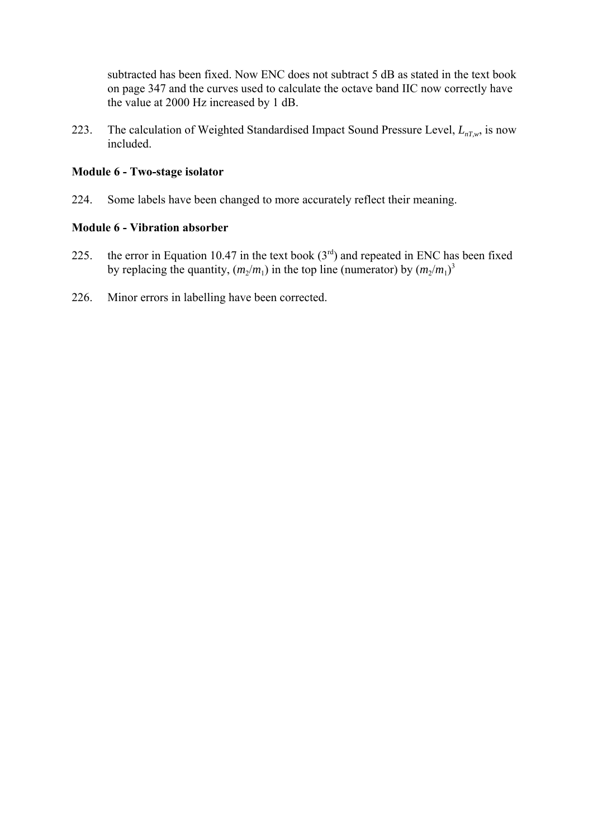subtracted has been fixed. Now ENC does not subtract 5 dB as stated in the text book on page 347 and the curves used to calculate the octave band IIC now correctly have the value at 2000 Hz increased by 1 dB.

223. The calculation of Weighted Standardised Impact Sound Pressure Level,  $L_{nT,w}$ , is now included.

#### **Module 6 - Two-stage isolator**

224. Some labels have been changed to more accurately reflect their meaning.

### **Module 6 - Vibration absorber**

- 225. the error in Equation 10.47 in the text book  $(3<sup>rd</sup>)$  and repeated in ENC has been fixed by replacing the quantity,  $(m_2/m_1)$  in the top line (numerator) by  $(m_2/m_1)^3$
- 226. Minor errors in labelling have been corrected.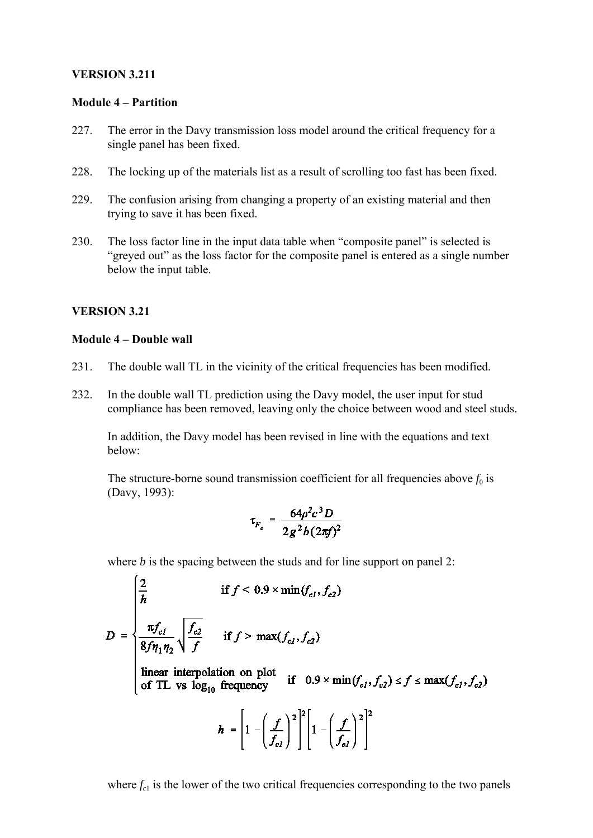#### **VERSION 3.211**

#### **Module 4 – Partition**

- 227. The error in the Davy transmission loss model around the critical frequency for a single panel has been fixed.
- 228. The locking up of the materials list as a result of scrolling too fast has been fixed.
- 229. The confusion arising from changing a property of an existing material and then trying to save it has been fixed.
- 230. The loss factor line in the input data table when "composite panel" is selected is "greyed out" as the loss factor for the composite panel is entered as a single number below the input table.

# **VERSION 3.21**

### **Module 4 – Double wall**

- 231. The double wall TL in the vicinity of the critical frequencies has been modified.
- 232. In the double wall TL prediction using the Davy model, the user input for stud compliance has been removed, leaving only the choice between wood and steel studs.

In addition, the Davy model has been revised in line with the equations and text below:

The structure-borne sound transmission coefficient for all frequencies above  $f_0$  is (Davy, 1993):

$$
\tau_{F_c} = \frac{64\rho^2 c^3 D}{2g^2 b (2\pi f)^2}
$$

where *b* is the spacing between the studs and for line support on panel 2:

$$
D = \begin{cases} \frac{2}{h} & \text{if } f < 0.9 \times \min(f_{c_l}, f_{c2}) \\ \frac{\pi f_{c_l}}{8f \eta_1 \eta_2} \sqrt{\frac{f_{c2}}{f}} & \text{if } f > \max(f_{c_l}, f_{c2}) \\ \text{linear interpolation on plot} & \text{if } 0.9 \times \min(f_{c_l}, f_{c2}) \le f \le \max(f_{c_l}, f_{c2}) \\ \text{of TL vs } \log_{10} \text{ frequency} & \text{if } 0.9 \times \min(f_{c_l}, f_{c2}) \le f \le \max(f_{c_l}, f_{c2}) \end{cases}
$$

where  $f_{c1}$  is the lower of the two critical frequencies corresponding to the two panels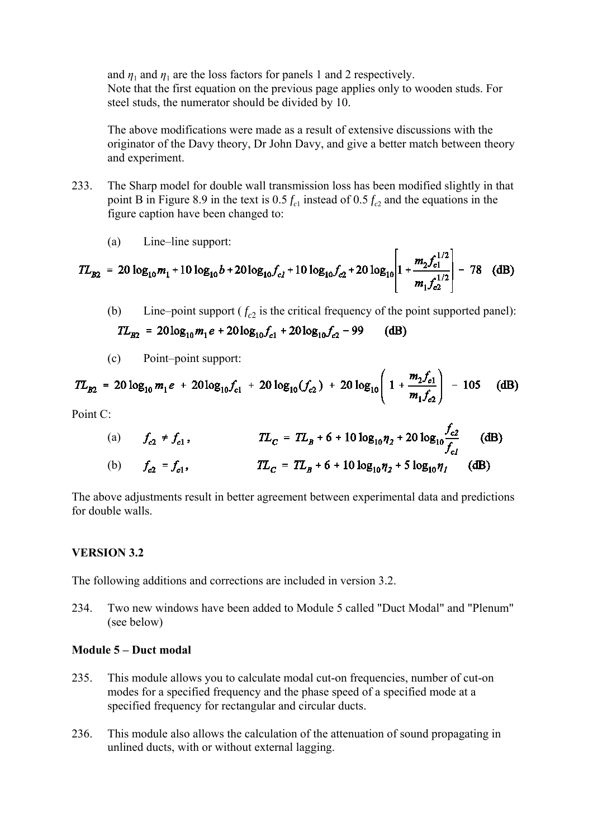and  $\eta_1$  and  $\eta_1$  are the loss factors for panels 1 and 2 respectively. Note that the first equation on the previous page applies only to wooden studs. For steel studs, the numerator should be divided by 10.

The above modifications were made as a result of extensive discussions with the originator of the Davy theory, Dr John Davy, and give a better match between theory and experiment.

- 233. The Sharp model for double wall transmission loss has been modified slightly in that point B in Figure 8.9 in the text is  $0.5 f_c$  instead of  $0.5 f_c$  and the equations in the figure caption have been changed to:
	- (a) Line–line support:

$$
TL_{B2} = 20 \log_{10} m_1 + 10 \log_{10} b + 20 \log_{10} f_{c1} + 10 \log_{10} f_{c2} + 20 \log_{10} \left[ 1 + \frac{m_2 f_{c1}^{1/2}}{m_1 f_{c2}^{1/2}} \right] - 78
$$
 (dB)

(b) Line–point support  $(f_c)$  is the critical frequency of the point supported panel):

$$
TL_{B2} = 20\log_{10}m_1e + 20\log_{10}f_{c1} + 20\log_{10}f_{c2} - 99
$$
 (dB)

(c) Point–point support:

$$
TL_{B2} = 20 \log_{10} m_1 e + 20 \log_{10} f_{c1} + 20 \log_{10} (f_{c2}) + 20 \log_{10} \left( 1 + \frac{m_2 f_{c1}}{m_1 f_{c2}} \right) - 105 \quad (dB)
$$

Point C:

(a) 
$$
f_{c2} \neq f_{c1}
$$
,  $TL_C = TL_B + 6 + 10 \log_{10} \eta_2 + 20 \log_{10} \frac{f_{c2}}{f_{c1}}$  (dB)  
\n(b)  $f_{c2} = f_{c1}$ ,  $TL_C = TL_B + 6 + 10 \log_{10} \eta_2 + 5 \log_{10} \eta_1$  (dB)

 $\overline{a}$ 

The above adjustments result in better agreement between experimental data and predictions for double walls.

#### **VERSION 3.2**

The following additions and corrections are included in version 3.2.

234. Two new windows have been added to Module 5 called "Duct Modal" and "Plenum" (see below)

#### **Module 5 – Duct modal**

- 235. This module allows you to calculate modal cut-on frequencies, number of cut-on modes for a specified frequency and the phase speed of a specified mode at a specified frequency for rectangular and circular ducts.
- 236. This module also allows the calculation of the attenuation of sound propagating in unlined ducts, with or without external lagging.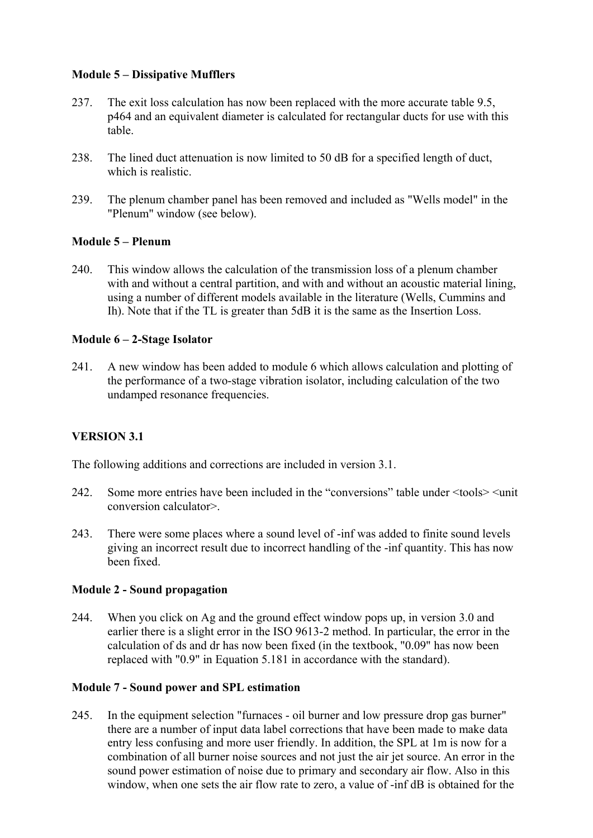# **Module 5 – Dissipative Mufflers**

- 237. The exit loss calculation has now been replaced with the more accurate table 9.5, p464 and an equivalent diameter is calculated for rectangular ducts for use with this table.
- 238. The lined duct attenuation is now limited to 50 dB for a specified length of duct, which is realistic.
- 239. The plenum chamber panel has been removed and included as "Wells model" in the "Plenum" window (see below).

### **Module 5 – Plenum**

240. This window allows the calculation of the transmission loss of a plenum chamber with and without a central partition, and with and without an acoustic material lining, using a number of different models available in the literature (Wells, Cummins and Ih). Note that if the TL is greater than 5dB it is the same as the Insertion Loss.

### **Module 6 – 2-Stage Isolator**

241. A new window has been added to module 6 which allows calculation and plotting of the performance of a two-stage vibration isolator, including calculation of the two undamped resonance frequencies.

# **VERSION 3.1**

The following additions and corrections are included in version 3.1.

- 242. Some more entries have been included in the "conversions" table under  $\leq$  tools $\geq$   $\leq$  unit conversion calculator>.
- 243. There were some places where a sound level of -inf was added to finite sound levels giving an incorrect result due to incorrect handling of the -inf quantity. This has now been fixed.

#### **Module 2 - Sound propagation**

244. When you click on Ag and the ground effect window pops up, in version 3.0 and earlier there is a slight error in the ISO 9613-2 method. In particular, the error in the calculation of ds and dr has now been fixed (in the textbook, "0.09" has now been replaced with "0.9" in Equation 5.181 in accordance with the standard).

#### **Module 7 - Sound power and SPL estimation**

245. In the equipment selection "furnaces - oil burner and low pressure drop gas burner" there are a number of input data label corrections that have been made to make data entry less confusing and more user friendly. In addition, the SPL at 1m is now for a combination of all burner noise sources and not just the air jet source. An error in the sound power estimation of noise due to primary and secondary air flow. Also in this window, when one sets the air flow rate to zero, a value of -inf dB is obtained for the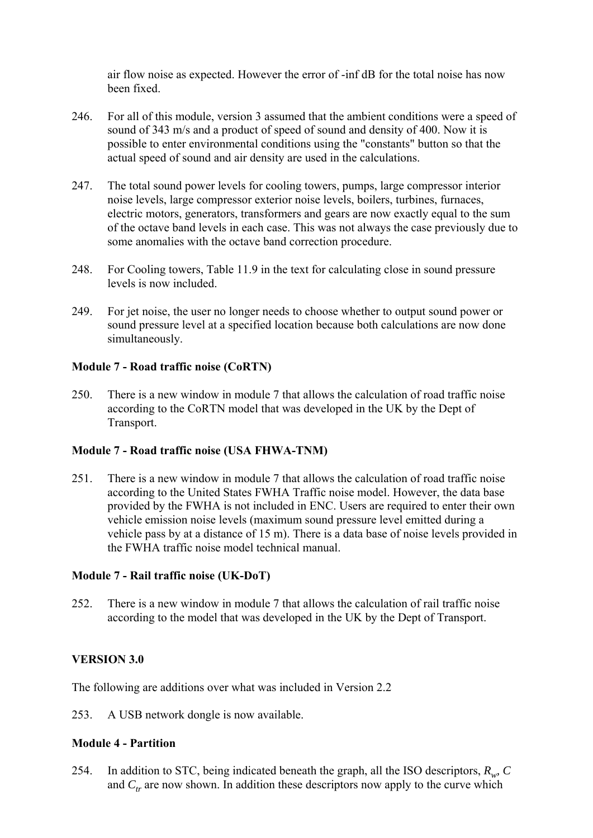air flow noise as expected. However the error of -inf dB for the total noise has now been fixed.

- 246. For all of this module, version 3 assumed that the ambient conditions were a speed of sound of 343 m/s and a product of speed of sound and density of 400. Now it is possible to enter environmental conditions using the "constants" button so that the actual speed of sound and air density are used in the calculations.
- 247. The total sound power levels for cooling towers, pumps, large compressor interior noise levels, large compressor exterior noise levels, boilers, turbines, furnaces, electric motors, generators, transformers and gears are now exactly equal to the sum of the octave band levels in each case. This was not always the case previously due to some anomalies with the octave band correction procedure.
- 248. For Cooling towers, Table 11.9 in the text for calculating close in sound pressure levels is now included.
- 249. For jet noise, the user no longer needs to choose whether to output sound power or sound pressure level at a specified location because both calculations are now done simultaneously.

### **Module 7 - Road traffic noise (CoRTN)**

250. There is a new window in module 7 that allows the calculation of road traffic noise according to the CoRTN model that was developed in the UK by the Dept of Transport.

# **Module 7 - Road traffic noise (USA FHWA-TNM)**

251. There is a new window in module 7 that allows the calculation of road traffic noise according to the United States FWHA Traffic noise model. However, the data base provided by the FWHA is not included in ENC. Users are required to enter their own vehicle emission noise levels (maximum sound pressure level emitted during a vehicle pass by at a distance of 15 m). There is a data base of noise levels provided in the FWHA traffic noise model technical manual.

#### **Module 7 - Rail traffic noise (UK-DoT)**

252. There is a new window in module 7 that allows the calculation of rail traffic noise according to the model that was developed in the UK by the Dept of Transport.

# **VERSION 3.0**

The following are additions over what was included in Version 2.2

253. A USB network dongle is now available.

# **Module 4 - Partition**

254. In addition to STC, being indicated beneath the graph, all the ISO descriptors, *Rw, C* and  $C_t$  are now shown. In addition these descriptors now apply to the curve which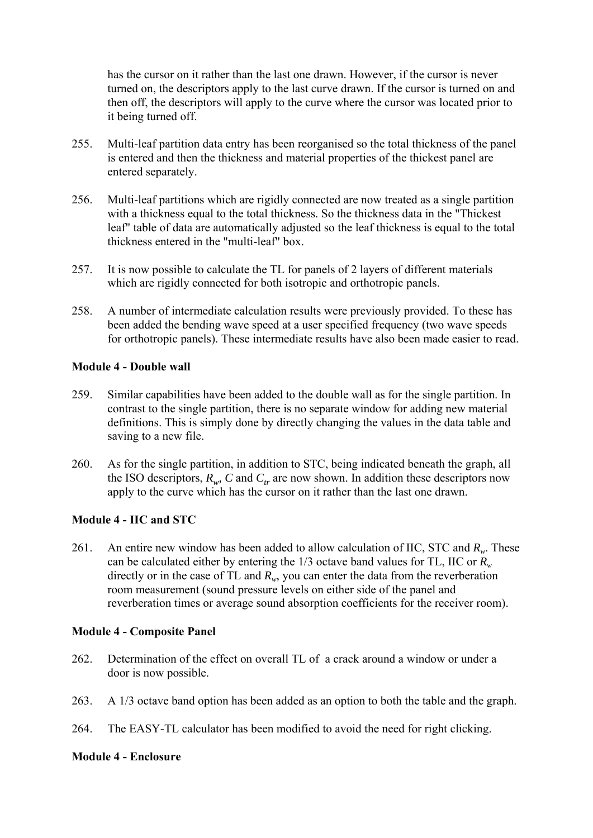has the cursor on it rather than the last one drawn. However, if the cursor is never turned on, the descriptors apply to the last curve drawn. If the cursor is turned on and then off, the descriptors will apply to the curve where the cursor was located prior to it being turned off.

- 255. Multi-leaf partition data entry has been reorganised so the total thickness of the panel is entered and then the thickness and material properties of the thickest panel are entered separately.
- 256. Multi-leaf partitions which are rigidly connected are now treated as a single partition with a thickness equal to the total thickness. So the thickness data in the "Thickest leaf" table of data are automatically adjusted so the leaf thickness is equal to the total thickness entered in the "multi-leaf" box.
- 257. It is now possible to calculate the TL for panels of 2 layers of different materials which are rigidly connected for both isotropic and orthotropic panels.
- 258. A number of intermediate calculation results were previously provided. To these has been added the bending wave speed at a user specified frequency (two wave speeds for orthotropic panels). These intermediate results have also been made easier to read.

### **Module 4 - Double wall**

- 259. Similar capabilities have been added to the double wall as for the single partition. In contrast to the single partition, there is no separate window for adding new material definitions. This is simply done by directly changing the values in the data table and saving to a new file.
- 260. As for the single partition, in addition to STC, being indicated beneath the graph, all the ISO descriptors,  $R_{w}$ , C and  $C_{tr}$  are now shown. In addition these descriptors now apply to the curve which has the cursor on it rather than the last one drawn.

# **Module 4 - IIC and STC**

261. An entire new window has been added to allow calculation of IIC, STC and  $R_w$ . These can be calculated either by entering the 1/3 octave band values for TL, IIC or  $R_{w}$ directly or in the case of TL and  $\overline{R_w}$ , you can enter the data from the reverberation room measurement (sound pressure levels on either side of the panel and reverberation times or average sound absorption coefficients for the receiver room).

# **Module 4 - Composite Panel**

- 262. Determination of the effect on overall TL of a crack around a window or under a door is now possible.
- 263. A 1/3 octave band option has been added as an option to both the table and the graph.
- 264. The EASY-TL calculator has been modified to avoid the need for right clicking.

# **Module 4 - Enclosure**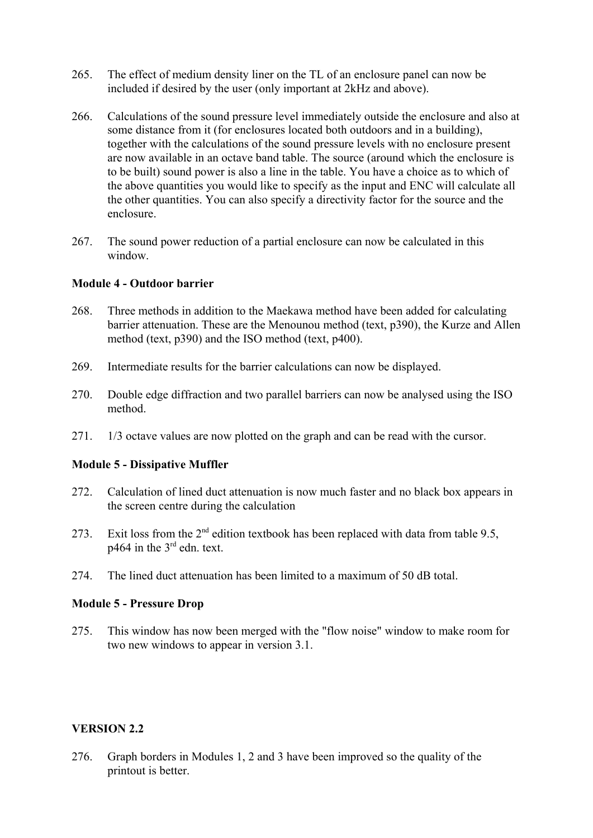- 265. The effect of medium density liner on the TL of an enclosure panel can now be included if desired by the user (only important at 2kHz and above).
- 266. Calculations of the sound pressure level immediately outside the enclosure and also at some distance from it (for enclosures located both outdoors and in a building), together with the calculations of the sound pressure levels with no enclosure present are now available in an octave band table. The source (around which the enclosure is to be built) sound power is also a line in the table. You have a choice as to which of the above quantities you would like to specify as the input and ENC will calculate all the other quantities. You can also specify a directivity factor for the source and the enclosure.
- 267. The sound power reduction of a partial enclosure can now be calculated in this window.

#### **Module 4 - Outdoor barrier**

- 268. Three methods in addition to the Maekawa method have been added for calculating barrier attenuation. These are the Menounou method (text, p390), the Kurze and Allen method (text, p390) and the ISO method (text, p400).
- 269. Intermediate results for the barrier calculations can now be displayed.
- 270. Double edge diffraction and two parallel barriers can now be analysed using the ISO method.
- 271. 1/3 octave values are now plotted on the graph and can be read with the cursor.

# **Module 5 - Dissipative Muffler**

- 272. Calculation of lined duct attenuation is now much faster and no black box appears in the screen centre during the calculation
- 273. Exit loss from the  $2<sup>nd</sup>$  edition textbook has been replaced with data from table 9.5, p464 in the 3rd edn. text.
- 274. The lined duct attenuation has been limited to a maximum of 50 dB total.

#### **Module 5 - Pressure Drop**

275. This window has now been merged with the "flow noise" window to make room for two new windows to appear in version 3.1.

#### **VERSION 2.2**

276. Graph borders in Modules 1, 2 and 3 have been improved so the quality of the printout is better.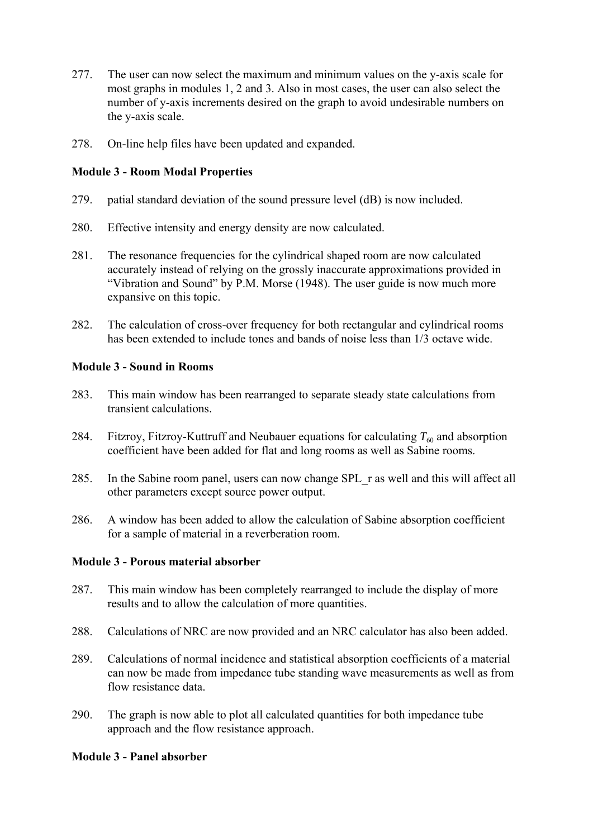- 277. The user can now select the maximum and minimum values on the y-axis scale for most graphs in modules 1, 2 and 3. Also in most cases, the user can also select the number of y-axis increments desired on the graph to avoid undesirable numbers on the y-axis scale.
- 278. On-line help files have been updated and expanded.

### **Module 3 - Room Modal Properties**

- 279. patial standard deviation of the sound pressure level (dB) is now included.
- 280. Effective intensity and energy density are now calculated.
- 281. The resonance frequencies for the cylindrical shaped room are now calculated accurately instead of relying on the grossly inaccurate approximations provided in "Vibration and Sound" by P.M. Morse (1948). The user guide is now much more expansive on this topic.
- 282. The calculation of cross-over frequency for both rectangular and cylindrical rooms has been extended to include tones and bands of noise less than 1/3 octave wide.

### **Module 3 - Sound in Rooms**

- 283. This main window has been rearranged to separate steady state calculations from transient calculations.
- 284. Fitzroy, Fitzroy-Kuttruff and Neubauer equations for calculating  $T_{60}$  and absorption coefficient have been added for flat and long rooms as well as Sabine rooms.
- 285. In the Sabine room panel, users can now change SPL\_r as well and this will affect all other parameters except source power output.
- 286. A window has been added to allow the calculation of Sabine absorption coefficient for a sample of material in a reverberation room.

#### **Module 3 - Porous material absorber**

- 287. This main window has been completely rearranged to include the display of more results and to allow the calculation of more quantities.
- 288. Calculations of NRC are now provided and an NRC calculator has also been added.
- 289. Calculations of normal incidence and statistical absorption coefficients of a material can now be made from impedance tube standing wave measurements as well as from flow resistance data.
- 290. The graph is now able to plot all calculated quantities for both impedance tube approach and the flow resistance approach.

# **Module 3 - Panel absorber**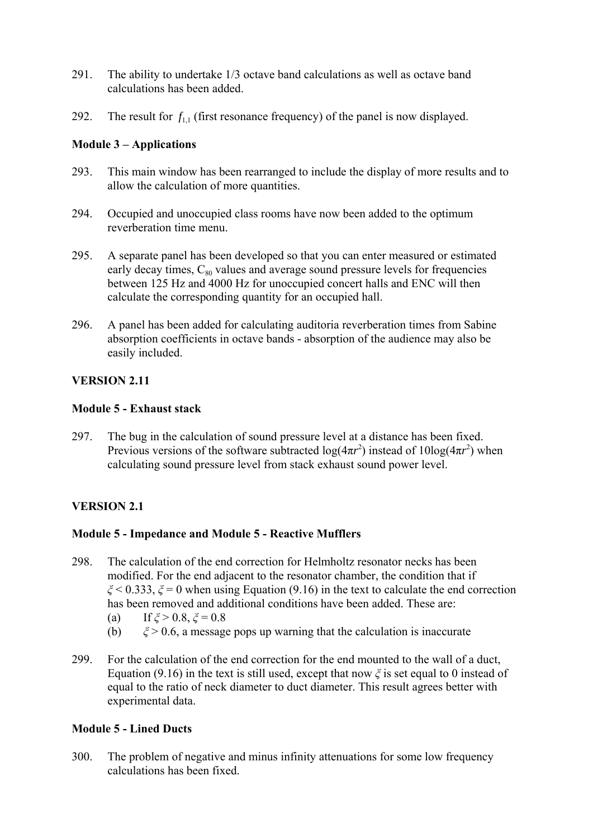- 291. The ability to undertake 1/3 octave band calculations as well as octave band calculations has been added.
- 292. The result for  $f_{1,1}$  (first resonance frequency) of the panel is now displayed.

# **Module 3 – Applications**

- 293. This main window has been rearranged to include the display of more results and to allow the calculation of more quantities.
- 294. Occupied and unoccupied class rooms have now been added to the optimum reverberation time menu.
- 295. A separate panel has been developed so that you can enter measured or estimated early decay times,  $C_{80}$  values and average sound pressure levels for frequencies between 125 Hz and 4000 Hz for unoccupied concert halls and ENC will then calculate the corresponding quantity for an occupied hall.
- 296. A panel has been added for calculating auditoria reverberation times from Sabine absorption coefficients in octave bands - absorption of the audience may also be easily included.

# **VERSION 2.11**

# **Module 5 - Exhaust stack**

297. The bug in the calculation of sound pressure level at a distance has been fixed. Previous versions of the software subtracted  $log(4\pi r^2)$  instead of  $10log(4\pi r^2)$  when calculating sound pressure level from stack exhaust sound power level.

# **VERSION 2.1**

# **Module 5 - Impedance and Module 5 - Reactive Mufflers**

- 298. The calculation of the end correction for Helmholtz resonator necks has been modified. For the end adjacent to the resonator chamber, the condition that if *ξ* < 0.333, *ξ* = 0 when using Equation (9.16) in the text to calculate the end correction has been removed and additional conditions have been added. These are:
	- (a) If  $\zeta > 0.8$ ,  $\zeta = 0.8$
	- (b)  $\xi > 0.6$ , a message pops up warning that the calculation is inaccurate
- 299. For the calculation of the end correction for the end mounted to the wall of a duct, Equation (9.16) in the text is still used, except that now *ξ* is set equal to 0 instead of equal to the ratio of neck diameter to duct diameter. This result agrees better with experimental data.

# **Module 5 - Lined Ducts**

300. The problem of negative and minus infinity attenuations for some low frequency calculations has been fixed.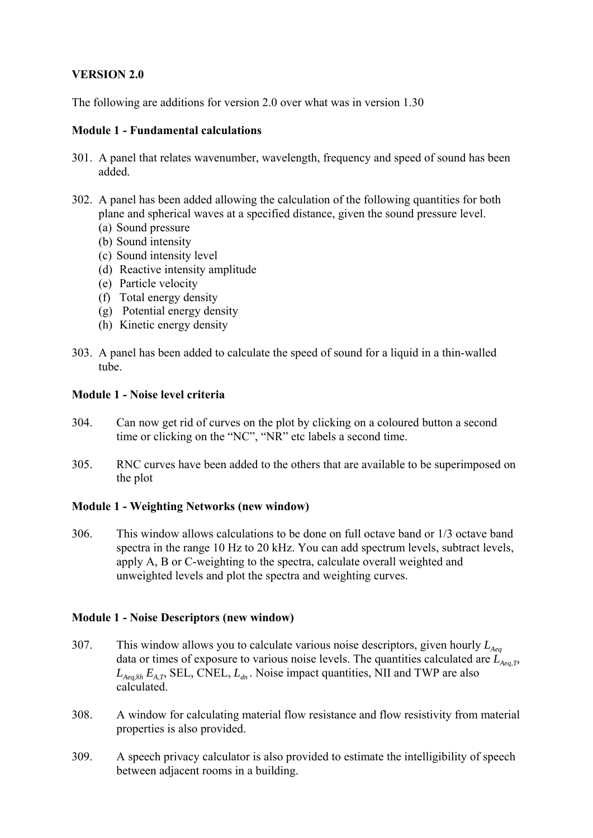# **VERSION 2.0**

The following are additions for version 2.0 over what was in version 1.30

#### **Module 1 - Fundamental calculations**

- 301. A panel that relates wavenumber, wavelength, frequency and speed of sound has been added.
- 302. A panel has been added allowing the calculation of the following quantities for both plane and spherical waves at a specified distance, given the sound pressure level.
	- (a) Sound pressure
	- (b) Sound intensity
	- (c) Sound intensity level
	- (d) Reactive intensity amplitude
	- (e) Particle velocity
	- (f) Total energy density
	- (g) Potential energy density
	- (h) Kinetic energy density
- 303. A panel has been added to calculate the speed of sound for a liquid in a thin-walled tube.

### **Module 1 - Noise level criteria**

- 304. Can now get rid of curves on the plot by clicking on a coloured button a second time or clicking on the "NC", "NR" etc labels a second time.
- 305. RNC curves have been added to the others that are available to be superimposed on the plot

#### **Module 1 - Weighting Networks (new window)**

306. This window allows calculations to be done on full octave band or 1/3 octave band spectra in the range 10 Hz to 20 kHz. You can add spectrum levels, subtract levels, apply A, B or C-weighting to the spectra, calculate overall weighted and unweighted levels and plot the spectra and weighting curves.

#### **Module 1 - Noise Descriptors (new window)**

- 307. This window allows you to calculate various noise descriptors, given hourly  $L_{A_{eq}}$ data or times of exposure to various noise levels. The quantities calculated are  $\dot{L}_{A_{eq},T}$  $L_{\text{Aea,8h}} E_{\text{A,T}}$ , SEL, CNEL,  $L_{dn}$ . Noise impact quantities, NII and TWP are also calculated.
- 308. A window for calculating material flow resistance and flow resistivity from material properties is also provided.
- 309. A speech privacy calculator is also provided to estimate the intelligibility of speech between adjacent rooms in a building.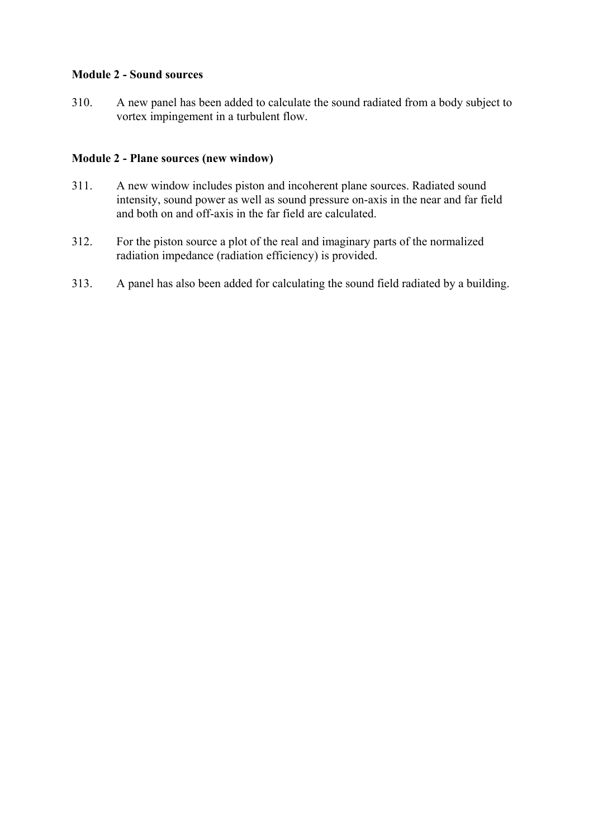# **Module 2 - Sound sources**

310. A new panel has been added to calculate the sound radiated from a body subject to vortex impingement in a turbulent flow.

### **Module 2 - Plane sources (new window)**

- 311. A new window includes piston and incoherent plane sources. Radiated sound intensity, sound power as well as sound pressure on-axis in the near and far field and both on and off-axis in the far field are calculated.
- 312. For the piston source a plot of the real and imaginary parts of the normalized radiation impedance (radiation efficiency) is provided.
- 313. A panel has also been added for calculating the sound field radiated by a building.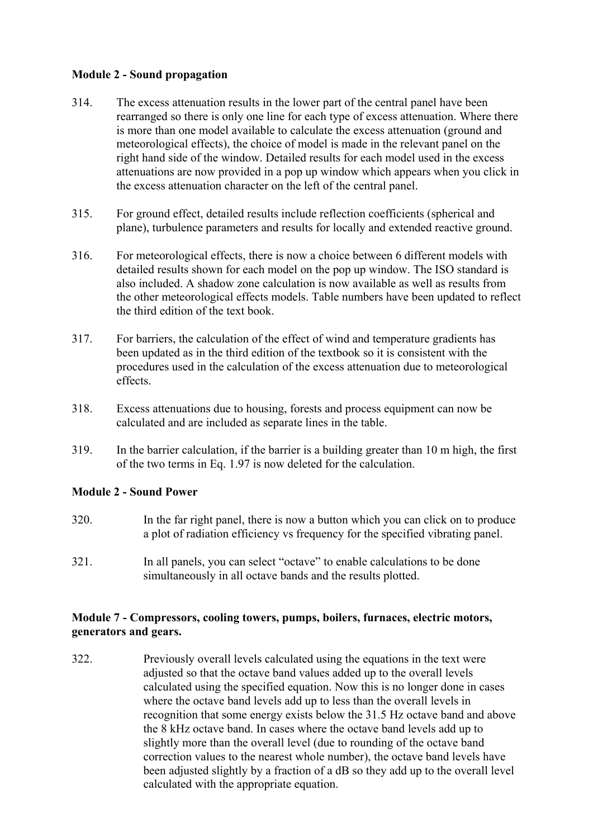# **Module 2 - Sound propagation**

- 314. The excess attenuation results in the lower part of the central panel have been rearranged so there is only one line for each type of excess attenuation. Where there is more than one model available to calculate the excess attenuation (ground and meteorological effects), the choice of model is made in the relevant panel on the right hand side of the window. Detailed results for each model used in the excess attenuations are now provided in a pop up window which appears when you click in the excess attenuation character on the left of the central panel.
- 315. For ground effect, detailed results include reflection coefficients (spherical and plane), turbulence parameters and results for locally and extended reactive ground.
- 316. For meteorological effects, there is now a choice between 6 different models with detailed results shown for each model on the pop up window. The ISO standard is also included. A shadow zone calculation is now available as well as results from the other meteorological effects models. Table numbers have been updated to reflect the third edition of the text book.
- 317. For barriers, the calculation of the effect of wind and temperature gradients has been updated as in the third edition of the textbook so it is consistent with the procedures used in the calculation of the excess attenuation due to meteorological effects.
- 318. Excess attenuations due to housing, forests and process equipment can now be calculated and are included as separate lines in the table.
- 319. In the barrier calculation, if the barrier is a building greater than 10 m high, the first of the two terms in Eq. 1.97 is now deleted for the calculation.

#### **Module 2 - Sound Power**

- 320. In the far right panel, there is now a button which you can click on to produce a plot of radiation efficiency vs frequency for the specified vibrating panel.
- 321. In all panels, you can select "octave" to enable calculations to be done simultaneously in all octave bands and the results plotted.

### **Module 7 - Compressors, cooling towers, pumps, boilers, furnaces, electric motors, generators and gears.**

322. Previously overall levels calculated using the equations in the text were adjusted so that the octave band values added up to the overall levels calculated using the specified equation. Now this is no longer done in cases where the octave band levels add up to less than the overall levels in recognition that some energy exists below the 31.5 Hz octave band and above the 8 kHz octave band. In cases where the octave band levels add up to slightly more than the overall level (due to rounding of the octave band correction values to the nearest whole number), the octave band levels have been adjusted slightly by a fraction of a dB so they add up to the overall level calculated with the appropriate equation.